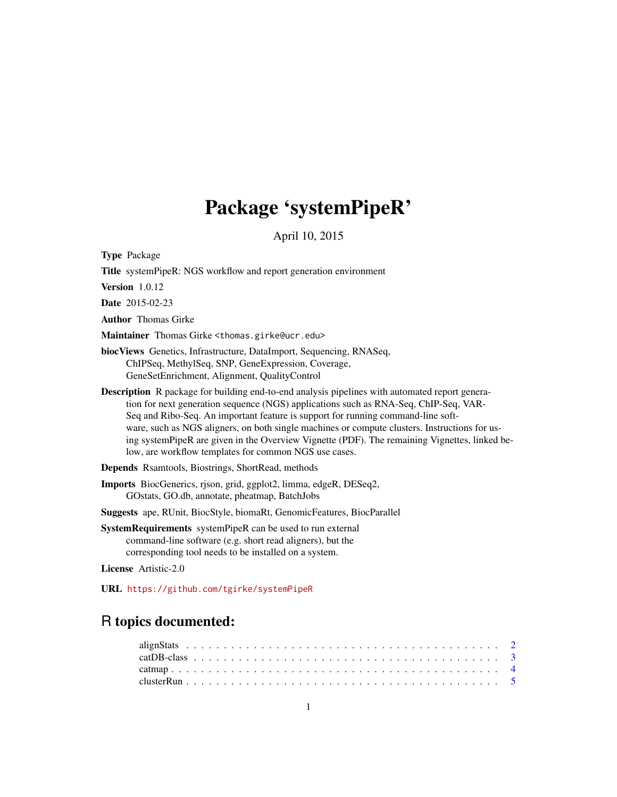# Package 'systemPipeR'

April 10, 2015

Type Package

Title systemPipeR: NGS workflow and report generation environment

Version 1.0.12

Date 2015-02-23

Author Thomas Girke

Maintainer Thomas Girke <thomas.girke@ucr.edu>

biocViews Genetics, Infrastructure, DataImport, Sequencing, RNASeq, ChIPSeq, MethylSeq, SNP, GeneExpression, Coverage, GeneSetEnrichment, Alignment, QualityControl

Description R package for building end-to-end analysis pipelines with automated report generation for next generation sequence (NGS) applications such as RNA-Seq, ChIP-Seq, VAR-Seq and Ribo-Seq. An important feature is support for running command-line software, such as NGS aligners, on both single machines or compute clusters. Instructions for using systemPipeR are given in the Overview Vignette (PDF). The remaining Vignettes, linked below, are workflow templates for common NGS use cases.

Depends Rsamtools, Biostrings, ShortRead, methods

Imports BiocGenerics, rjson, grid, ggplot2, limma, edgeR, DESeq2, GOstats, GO.db, annotate, pheatmap, BatchJobs

Suggests ape, RUnit, BiocStyle, biomaRt, GenomicFeatures, BiocParallel

SystemRequirements systemPipeR can be used to run external command-line software (e.g. short read aligners), but the corresponding tool needs to be installed on a system.

License Artistic-2.0

URL <https://github.com/tgirke/systemPipeR>

# R topics documented: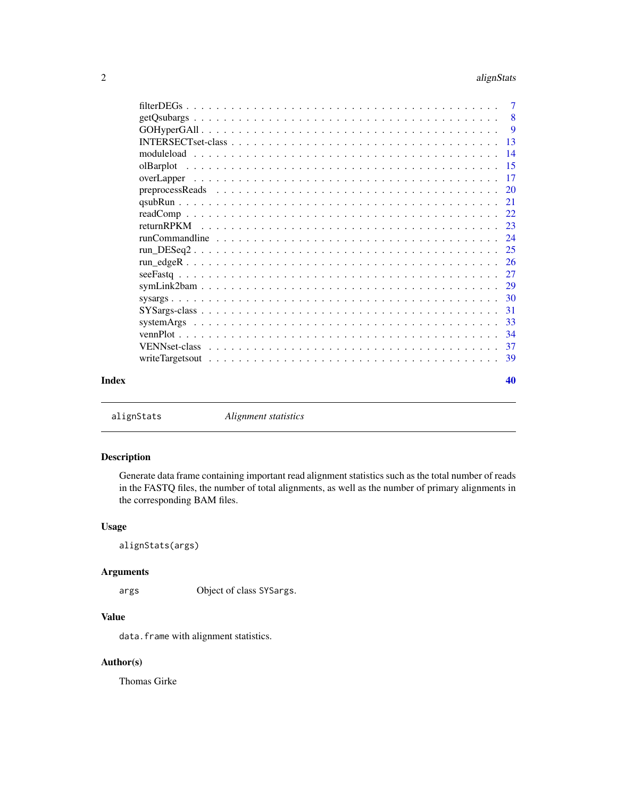#### <span id="page-1-0"></span>2 alignStats and the contract of the contract of the contract of the contract of the contract of the contract of the contract of the contract of the contract of the contract of the contract of the contract of the contract

|       |                                                                                                                              | $\overline{7}$ |
|-------|------------------------------------------------------------------------------------------------------------------------------|----------------|
|       |                                                                                                                              | - 8            |
|       |                                                                                                                              | $\overline{9}$ |
|       |                                                                                                                              | 13             |
|       | 14                                                                                                                           |                |
|       | -15                                                                                                                          |                |
|       | $\overline{17}$                                                                                                              |                |
|       |                                                                                                                              |                |
|       |                                                                                                                              |                |
|       |                                                                                                                              |                |
|       |                                                                                                                              |                |
|       |                                                                                                                              |                |
|       |                                                                                                                              |                |
|       |                                                                                                                              |                |
|       |                                                                                                                              |                |
|       |                                                                                                                              |                |
|       |                                                                                                                              |                |
|       | -31<br>$SYSargs-class \dots \dots \dots \dots \dots \dots \dots \dots \dots \dots \dots \dots \dots \dots \dots \dots \dots$ |                |
|       | -33                                                                                                                          |                |
|       | 34                                                                                                                           |                |
|       |                                                                                                                              |                |
|       | -39                                                                                                                          |                |
| Index |                                                                                                                              | 40             |
|       |                                                                                                                              |                |

alignStats *Alignment statistics*

# Description

Generate data frame containing important read alignment statistics such as the total number of reads in the FASTQ files, the number of total alignments, as well as the number of primary alignments in the corresponding BAM files.

# Usage

alignStats(args)

# Arguments

args Object of class SYSargs.

# Value

data.frame with alignment statistics.

# Author(s)

Thomas Girke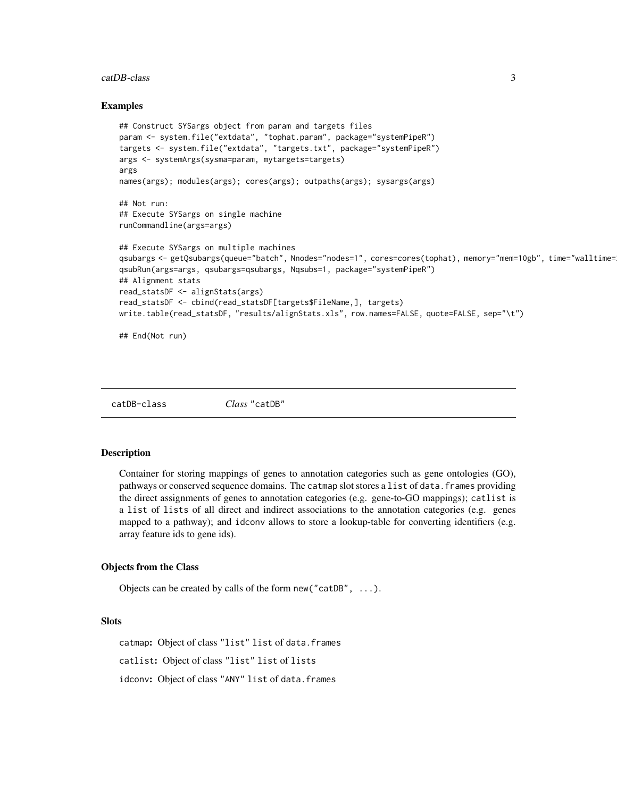#### <span id="page-2-0"></span>catDB-class 3

#### Examples

```
## Construct SYSargs object from param and targets files
param <- system.file("extdata", "tophat.param", package="systemPipeR")
targets <- system.file("extdata", "targets.txt", package="systemPipeR")
args <- systemArgs(sysma=param, mytargets=targets)
args
names(args); modules(args); cores(args); outpaths(args); sysargs(args)
## Not run:
## Execute SYSargs on single machine
runCommandline(args=args)
## Execute SYSargs on multiple machines
qsubargs <- getQsubargs(queue="batch", Nnodes="nodes=1", cores=cores(tophat), memory="mem=10gb", time="walltime=
qsubRun(args=args, qsubargs=qsubargs, Nqsubs=1, package="systemPipeR")
## Alignment stats
read_statsDF <- alignStats(args)
read_statsDF <- cbind(read_statsDF[targets$FileName,], targets)
write.table(read_statsDF, "results/alignStats.xls", row.names=FALSE, quote=FALSE, sep="\t")
```
## End(Not run)

catDB-class *Class* "catDB"

# Description

Container for storing mappings of genes to annotation categories such as gene ontologies (GO), pathways or conserved sequence domains. The catmap slot stores a list of data. frames providing the direct assignments of genes to annotation categories (e.g. gene-to-GO mappings); catlist is a list of lists of all direct and indirect associations to the annotation categories (e.g. genes mapped to a pathway); and idconv allows to store a lookup-table for converting identifiers (e.g. array feature ids to gene ids).

#### Objects from the Class

Objects can be created by calls of the form new("catDB", ...).

# Slots

catmap: Object of class "list" list of data.frames catlist: Object of class "list" list of lists idconv: Object of class "ANY" list of data.frames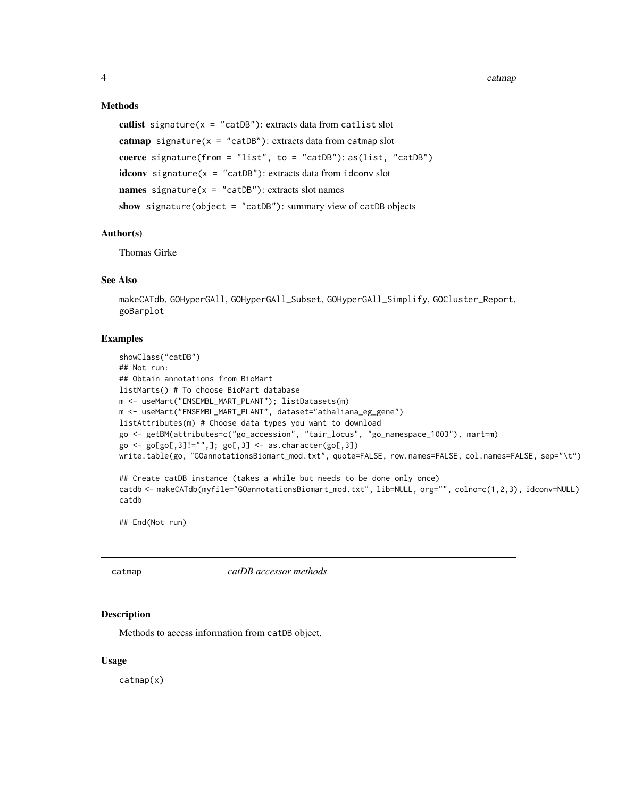# Methods

```
catlist signature(x = "catDB"): extracts data from catlist slot
catmap signature(x = "catDB"): extracts data from catmap slot
coerce signature(from = "list", to = "catDB"): as(list, "catDB")
idconv signature(x = "catDB"): extracts data from idconv slot
names signature(x = "catDB"): extracts slot names
show signature(object = "catDB"): summary view of catDB objects
```
# Author(s)

Thomas Girke

# See Also

makeCATdb, GOHyperGAll, GOHyperGAll\_Subset, GOHyperGAll\_Simplify, GOCluster\_Report, goBarplot

# Examples

```
showClass("catDB")
## Not run:
## Obtain annotations from BioMart
listMarts() # To choose BioMart database
m <- useMart("ENSEMBL_MART_PLANT"); listDatasets(m)
m <- useMart("ENSEMBL_MART_PLANT", dataset="athaliana_eg_gene")
listAttributes(m) # Choose data types you want to download
go <- getBM(attributes=c("go_accession", "tair_locus", "go_namespace_1003"), mart=m)
go \leftarrow go[go[, 3] != "",]; go[, 3] \leftarrow as.charAt (go[, 3])write.table(go, "GOannotationsBiomart_mod.txt", quote=FALSE, row.names=FALSE, col.names=FALSE, sep="\t")
## Create catDB instance (takes a while but needs to be done only once)
catdb <- makeCATdb(myfile="GOannotationsBiomart_mod.txt", lib=NULL, org="", colno=c(1,2,3), idconv=NULL)
catdb
```
## End(Not run)

catmap *catDB accessor methods*

# Description

Methods to access information from catDB object.

# Usage

catmap(x)

<span id="page-3-0"></span>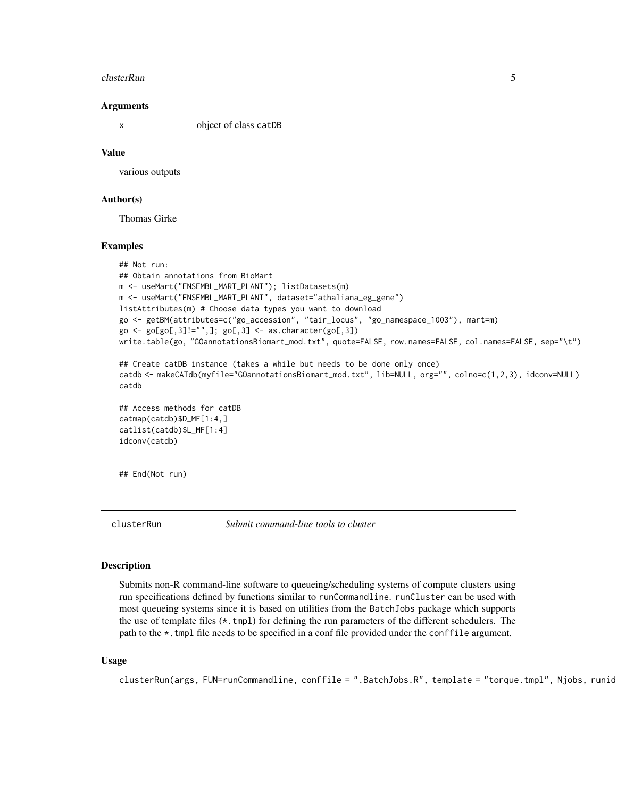#### <span id="page-4-0"></span>clusterRun 55 to 55 and 55 and 55 and 55 and 55 and 55 and 55 and 55 and 55 and 55 and 55 and 55 and 55 and 55 and 55 and 55 and 55 and 55 and 55 and 55 and 55 and 55 and 55 and 55 and 55 and 55 and 55 and 55 and 55 and 55

#### Arguments

x object of class catDB

#### Value

various outputs

# Author(s)

Thomas Girke

#### Examples

```
## Not run:
## Obtain annotations from BioMart
m <- useMart("ENSEMBL_MART_PLANT"); listDatasets(m)
m <- useMart("ENSEMBL_MART_PLANT", dataset="athaliana_eg_gene")
listAttributes(m) # Choose data types you want to download
go <- getBM(attributes=c("go_accession", "tair_locus", "go_namespace_1003"), mart=m)
go \leftarrow go[go[, 3] != "",]; go[, 3] \leftarrow as.charAt (go[, 3])write.table(go, "GOannotationsBiomart_mod.txt", quote=FALSE, row.names=FALSE, col.names=FALSE, sep="\t")
## Create catDB instance (takes a while but needs to be done only once)
catdb <- makeCATdb(myfile="GOannotationsBiomart_mod.txt", lib=NULL, org="", colno=c(1,2,3), idconv=NULL)
catdb
## Access methods for catDB
catmap(catdb)$D_MF[1:4,]
catlist(catdb)$L_MF[1:4]
idconv(catdb)
```
## End(Not run)

clusterRun *Submit command-line tools to cluster*

#### Description

Submits non-R command-line software to queueing/scheduling systems of compute clusters using run specifications defined by functions similar to runCommandline. runCluster can be used with most queueing systems since it is based on utilities from the BatchJobs package which supports the use of template files  $(*.tmp1)$  for defining the run parameters of the different schedulers. The path to the \*.tmpl file needs to be specified in a conf file provided under the conffile argument.

# Usage

 $clusterRun(args, FUN=runCommandline, conffile = ".BatchJobs.R", template = "torque.tmpl", Njobs, runid$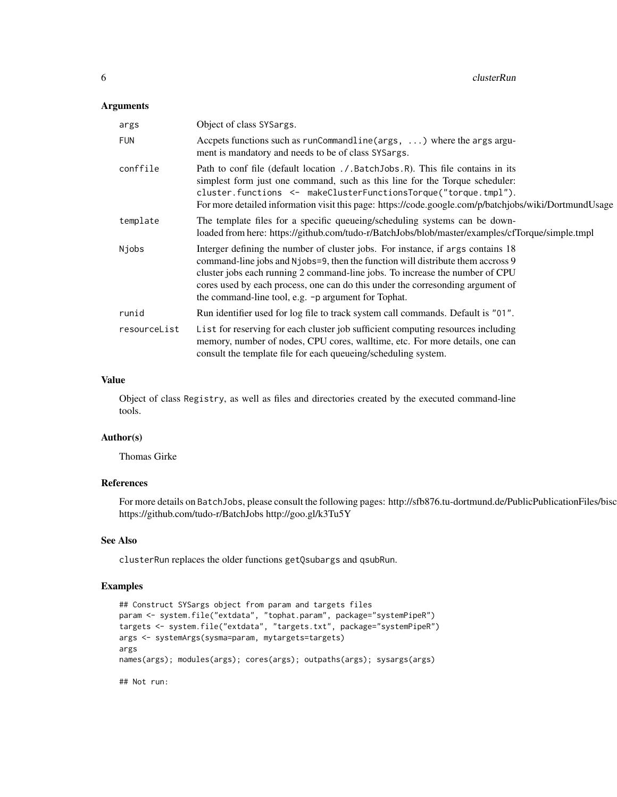# Arguments

| args         | Object of class SYSargs.                                                                                                                                                                                                                                                                                                                                                                    |
|--------------|---------------------------------------------------------------------------------------------------------------------------------------------------------------------------------------------------------------------------------------------------------------------------------------------------------------------------------------------------------------------------------------------|
| <b>FUN</b>   | Accpets functions such as $runCommandline(args, \ldots)$ where the args argu-<br>ment is mandatory and needs to be of class SYSargs.                                                                                                                                                                                                                                                        |
| conffile     | Path to conf file (default location . / BatchJobs R). This file contains in its<br>simplest form just one command, such as this line for the Torque scheduler:<br>cluster.functions <- makeClusterFunctionsTorque("torque.tmpl").<br>For more detailed information visit this page: https://code.google.com/p/batchjobs/wiki/DortmundUsage                                                  |
| template     | The template files for a specific queueing/scheduling systems can be down-<br>loaded from here: https://github.com/tudo-r/BatchJobs/blob/master/examples/cfTorque/simple.tmpl                                                                                                                                                                                                               |
| Njobs        | Interger defining the number of cluster jobs. For instance, if args contains 18<br>command-line jobs and Njobs=9, then the function will distribute them accross 9<br>cluster jobs each running 2 command-line jobs. To increase the number of CPU<br>cores used by each process, one can do this under the corresonding argument of<br>the command-line tool, e.g. -p argument for Tophat. |
| runid        | Run identifier used for log file to track system call commands. Default is "01".                                                                                                                                                                                                                                                                                                            |
| resourceList | List for reserving for each cluster job sufficient computing resources including<br>memory, number of nodes, CPU cores, walltime, etc. For more details, one can<br>consult the template file for each queueing/scheduling system.                                                                                                                                                          |

# Value

Object of class Registry, as well as files and directories created by the executed command-line tools.

# Author(s)

Thomas Girke

# References

For more details on BatchJobs, please consult the following pages: http://sfb876.tu-dortmund.de/PublicPublicationFiles/bisc https://github.com/tudo-r/BatchJobs http://goo.gl/k3Tu5Y

# See Also

clusterRun replaces the older functions getQsubargs and qsubRun.

# Examples

```
## Construct SYSargs object from param and targets files
param <- system.file("extdata", "tophat.param", package="systemPipeR")
targets <- system.file("extdata", "targets.txt", package="systemPipeR")
args <- systemArgs(sysma=param, mytargets=targets)
args
names(args); modules(args); cores(args); outpaths(args); sysargs(args)
```
## Not run: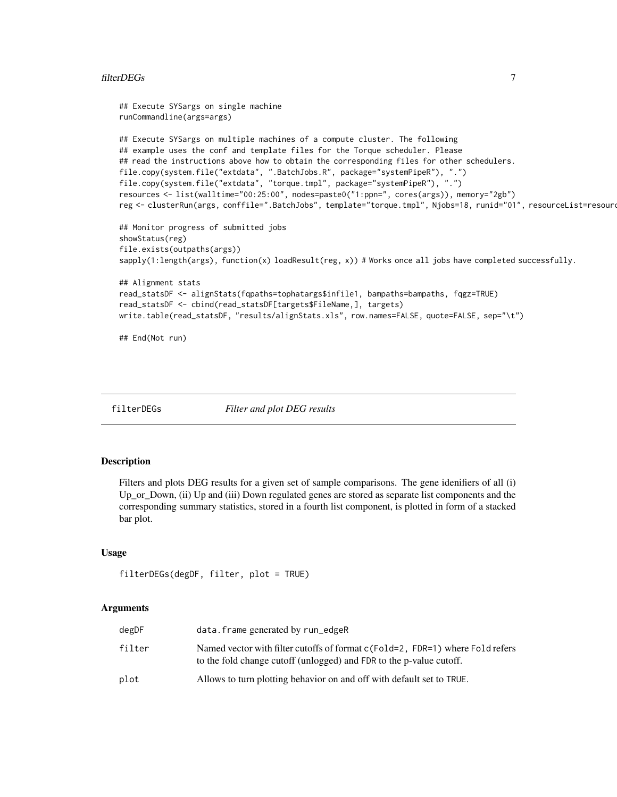# <span id="page-6-0"></span>filterDEGs 7

```
## Execute SYSargs on single machine
runCommandline(args=args)
## Execute SYSargs on multiple machines of a compute cluster. The following
## example uses the conf and template files for the Torque scheduler. Please
## read the instructions above how to obtain the corresponding files for other schedulers.
file.copy(system.file("extdata", ".BatchJobs.R", package="systemPipeR"), ".")
file.copy(system.file("extdata", "torque.tmpl", package="systemPipeR"), ".")
resources <- list(walltime="00:25:00", nodes=paste0("1:ppn=", cores(args)), memory="2gb")
reg <- clusterRun(args, conffile=".BatchJobs", template="torque.tmpl", Njobs=18, runid="01", resourceList=resources)
## Monitor progress of submitted jobs
showStatus(reg)
file.exists(outpaths(args))
sapply(1:length(args), function(x) loadResult(reg, x)) # Works once all jobs have completed successfully.
## Alignment stats
read_statsDF <- alignStats(fqpaths=tophatargs$infile1, bampaths=bampaths, fqgz=TRUE)
read_statsDF <- cbind(read_statsDF[targets$FileName,], targets)
write.table(read_statsDF, "results/alignStats.xls", row.names=FALSE, quote=FALSE, sep="\t")
## End(Not run)
```
filterDEGs *Filter and plot DEG results*

# Description

Filters and plots DEG results for a given set of sample comparisons. The gene idenifiers of all (i) Up\_or\_Down, (ii) Up and (iii) Down regulated genes are stored as separate list components and the corresponding summary statistics, stored in a fourth list component, is plotted in form of a stacked bar plot.

# Usage

```
filterDEGs(degDF, filter, plot = TRUE)
```
## Arguments

| degDF  | data.frame generated by run_edgeR                                                                                                                    |
|--------|------------------------------------------------------------------------------------------------------------------------------------------------------|
| filter | Named vector with filter cutoffs of format c(Fold=2, FDR=1) where Fold refers<br>to the fold change cutoff (unlogged) and FDR to the p-value cutoff. |
| plot   | Allows to turn plotting behavior on and off with default set to TRUE.                                                                                |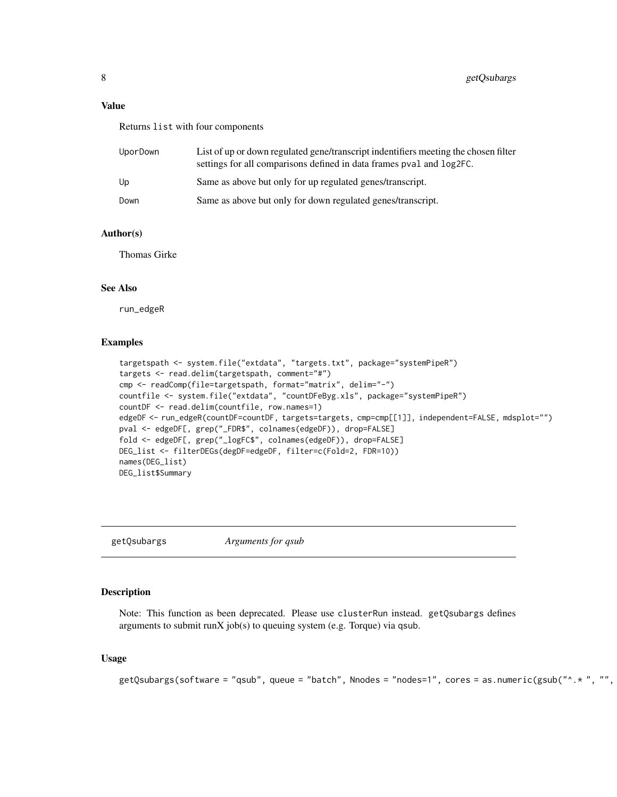# <span id="page-7-0"></span>Value

Returns list with four components

| UporDown | List of up or down regulated gene/transcript indentifiers meeting the chosen filter<br>settings for all comparisons defined in data frames pval and log2FC. |
|----------|-------------------------------------------------------------------------------------------------------------------------------------------------------------|
| Up       | Same as above but only for up regulated genes/transcript.                                                                                                   |
| Down     | Same as above but only for down regulated genes/transcript.                                                                                                 |

# Author(s)

Thomas Girke

# See Also

run\_edgeR

# Examples

```
targetspath <- system.file("extdata", "targets.txt", package="systemPipeR")
targets <- read.delim(targetspath, comment="#")
cmp <- readComp(file=targetspath, format="matrix", delim="-")
countfile <- system.file("extdata", "countDFeByg.xls", package="systemPipeR")
countDF <- read.delim(countfile, row.names=1)
edgeDF <- run_edgeR(countDF=countDF, targets=targets, cmp=cmp[[1]], independent=FALSE, mdsplot="")
pval <- edgeDF[, grep("_FDR$", colnames(edgeDF)), drop=FALSE]
fold <- edgeDF[, grep("_logFC$", colnames(edgeDF)), drop=FALSE]
DEG_list <- filterDEGs(degDF=edgeDF, filter=c(Fold=2, FDR=10))
names(DEG_list)
DEG_list$Summary
```
getQsubargs *Arguments for qsub*

# Description

Note: This function as been deprecated. Please use clusterRun instead. getQsubargs defines arguments to submit runX job(s) to queuing system (e.g. Torque) via qsub.

# Usage

```
getQsubargs(software = "qsub", queue = "batch", Nnodes = "nodes=1", cores = as.numeric(gsub("^.* ", "",
```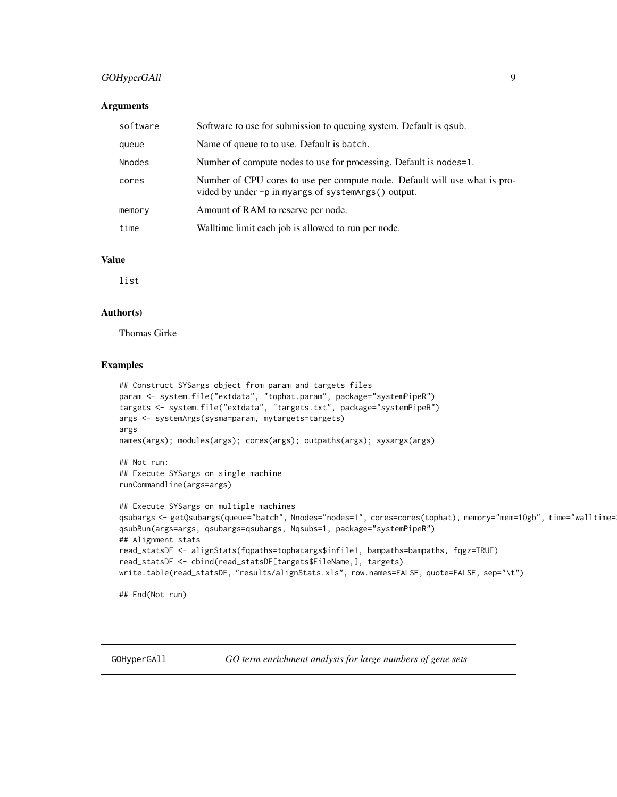# <span id="page-8-0"></span>GOHyperGAll 9

# Arguments

| software      | Software to use for submission to queuing system. Default is qsub.                                                                |
|---------------|-----------------------------------------------------------------------------------------------------------------------------------|
| queue         | Name of queue to to use. Default is batch.                                                                                        |
| <b>Nnodes</b> | Number of compute nodes to use for processing. Default is nodes=1.                                                                |
| cores         | Number of CPU cores to use per compute node. Default will use what is pro-<br>vided by under -p in myargs of systemArgs() output. |
| memory        | Amount of RAM to reserve per node.                                                                                                |
| time          | Walltime limit each job is allowed to run per node.                                                                               |

# Value

list

# Author(s)

Thomas Girke

# Examples

```
## Construct SYSargs object from param and targets files
param <- system.file("extdata", "tophat.param", package="systemPipeR")
targets <- system.file("extdata", "targets.txt", package="systemPipeR")
args <- systemArgs(sysma=param, mytargets=targets)
args
names(args); modules(args); cores(args); outpaths(args); sysargs(args)
## Not run:
## Execute SYSargs on single machine
runCommandline(args=args)
## Execute SYSargs on multiple machines
qsubargs <- getQsubargs(queue="batch", Nnodes="nodes=1", cores=cores(tophat), memory="mem=10gb", time="walltime=
qsubRun(args=args, qsubargs=qsubargs, Nqsubs=1, package="systemPipeR")
## Alignment stats
read_statsDF <- alignStats(fqpaths=tophatargs$infile1, bampaths=bampaths, fqgz=TRUE)
read_statsDF <- cbind(read_statsDF[targets$FileName,], targets)
write.table(read_statsDF, "results/alignStats.xls", row.names=FALSE, quote=FALSE, sep="\t")
## End(Not run)
```
GOHyperGAll *GO term enrichment analysis for large numbers of gene sets*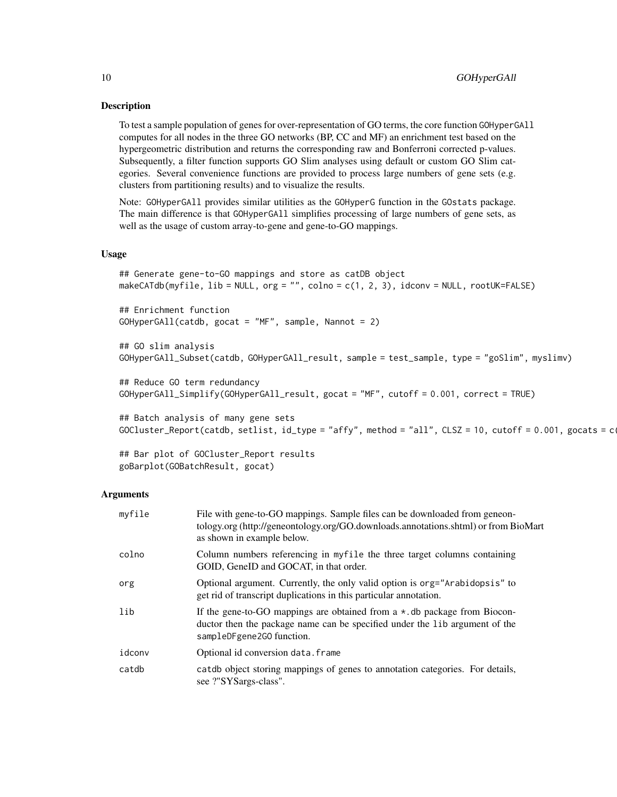# Description

To test a sample population of genes for over-representation of GO terms, the core function GOHyperGAll computes for all nodes in the three GO networks (BP, CC and MF) an enrichment test based on the hypergeometric distribution and returns the corresponding raw and Bonferroni corrected p-values. Subsequently, a filter function supports GO Slim analyses using default or custom GO Slim categories. Several convenience functions are provided to process large numbers of gene sets (e.g. clusters from partitioning results) and to visualize the results.

Note: GOHyperGAll provides similar utilities as the GOHyperG function in the GOstats package. The main difference is that GOHyperGAll simplifies processing of large numbers of gene sets, as well as the usage of custom array-to-gene and gene-to-GO mappings.

# Usage

```
## Generate gene-to-GO mappings and store as catDB object
makeCATdb(myfile, lib = NULL, org = "", colno = c(1, 2, 3), idconv = NULL, rootUK=FALSE)
```
## Enrichment function GOHyperGAll(catdb, gocat = "MF", sample, Nannot = 2)

```
## GO slim analysis
GOHyperGAll_Subset(catdb, GOHyperGAll_result, sample = test_sample, type = "goSlim", myslimv)
```

```
## Reduce GO term redundancy
GOHyperGAll_Simplify(GOHyperGAll_result, gocat = "MF", cutoff = 0.001, correct = TRUE)
```

```
## Batch analysis of many gene sets
GOCluster_Report(catdb, setlist, id_type = "affy", method = "all", CLSZ = 10, cutoff = 0.001, gocats = c
```

```
## Bar plot of GOCluster_Report results
goBarplot(GOBatchResult, gocat)
```
#### Arguments

| myfile | File with gene-to-GO mappings. Sample files can be downloaded from geneon-<br>tology.org (http://geneontology.org/GO.downloads.annotations.shtml) or from BioMart<br>as shown in example below. |
|--------|-------------------------------------------------------------------------------------------------------------------------------------------------------------------------------------------------|
| colno  | Column numbers referencing in myfile the three target columns containing<br>GOID, GeneID and GOCAT, in that order.                                                                              |
| org    | Optional argument. Currently, the only valid option is org="Arabidopsis" to<br>get rid of transcript duplications in this particular annotation.                                                |
| lib    | If the gene-to-GO mappings are obtained from a $\star$ . db package from Biocon-<br>ductor then the package name can be specified under the lib argument of the<br>sampleDFgene2GO function.    |
| idconv | Optional id conversion data. frame                                                                                                                                                              |
| catdb  | catdb object storing mappings of genes to annotation categories. For details,<br>see ?"SYSargs-class".                                                                                          |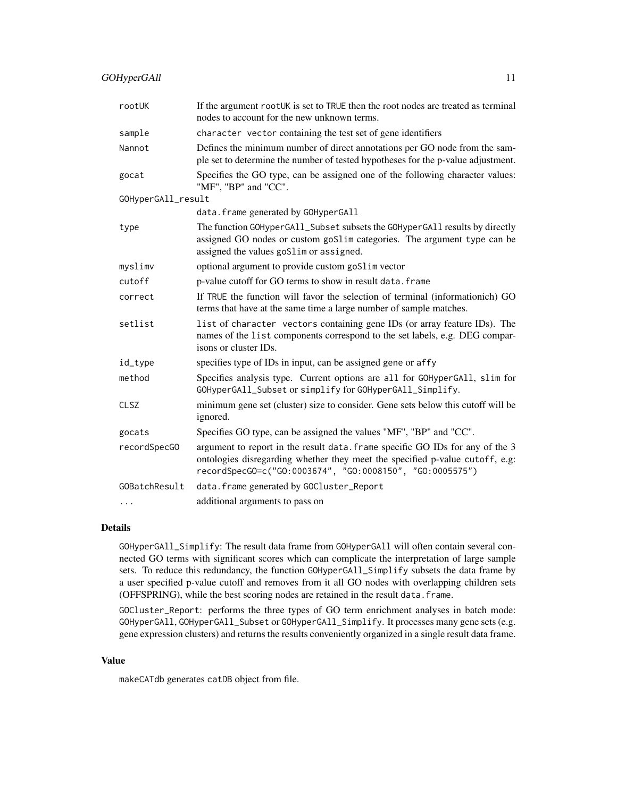| rootUK             | If the argument rootUK is set to TRUE then the root nodes are treated as terminal<br>nodes to account for the new unknown terms.                                                                                          |
|--------------------|---------------------------------------------------------------------------------------------------------------------------------------------------------------------------------------------------------------------------|
| sample             | character vector containing the test set of gene identifiers                                                                                                                                                              |
| Nannot             | Defines the minimum number of direct annotations per GO node from the sam-<br>ple set to determine the number of tested hypotheses for the p-value adjustment.                                                            |
| gocat              | Specifies the GO type, can be assigned one of the following character values:<br>"MF", "BP" and "CC".                                                                                                                     |
| GOHyperGAll_result |                                                                                                                                                                                                                           |
|                    | data.frame generated by GOHyperGAll                                                                                                                                                                                       |
| type               | The function GOHyperGA11_Subset subsets the GOHyperGA11 results by directly<br>assigned GO nodes or custom goSlim categories. The argument type can be<br>assigned the values goSlim or assigned.                         |
| myslimv            | optional argument to provide custom goSlim vector                                                                                                                                                                         |
| cutoff             | p-value cutoff for GO terms to show in result data. frame                                                                                                                                                                 |
| correct            | If TRUE the function will favor the selection of terminal (informationich) GO<br>terms that have at the same time a large number of sample matches.                                                                       |
| setlist            | list of character vectors containing gene IDs (or array feature IDs). The<br>names of the list components correspond to the set labels, e.g. DEG compar-<br>isons or cluster IDs.                                         |
| id_type            | specifies type of IDs in input, can be assigned gene or affy                                                                                                                                                              |
| method             | Specifies analysis type. Current options are all for GOHyperGAll, slim for<br>GOHyperGAll_Subset or simplify for GOHyperGAll_Simplify.                                                                                    |
| CLSZ               | minimum gene set (cluster) size to consider. Gene sets below this cutoff will be<br>ignored.                                                                                                                              |
| gocats             | Specifies GO type, can be assigned the values "MF", "BP" and "CC".                                                                                                                                                        |
| recordSpecG0       | argument to report in the result data. frame specific GO IDs for any of the 3<br>ontologies disregarding whether they meet the specified p-value cutoff, e.g:<br>recordSpecG0=c("G0:0003674", "G0:0008150", "G0:0005575") |
| GOBatchResult      | data.frame generated by GOCluster_Report                                                                                                                                                                                  |
| $\cdots$           | additional arguments to pass on                                                                                                                                                                                           |

# Details

GOHyperGAll\_Simplify: The result data frame from GOHyperGAll will often contain several connected GO terms with significant scores which can complicate the interpretation of large sample sets. To reduce this redundancy, the function GOHyperGAll\_Simplify subsets the data frame by a user specified p-value cutoff and removes from it all GO nodes with overlapping children sets (OFFSPRING), while the best scoring nodes are retained in the result data.frame.

GOCluster\_Report: performs the three types of GO term enrichment analyses in batch mode: GOHyperGAll, GOHyperGAll\_Subset or GOHyperGAll\_Simplify. It processes many gene sets (e.g. gene expression clusters) and returns the results conveniently organized in a single result data frame.

# Value

makeCATdb generates catDB object from file.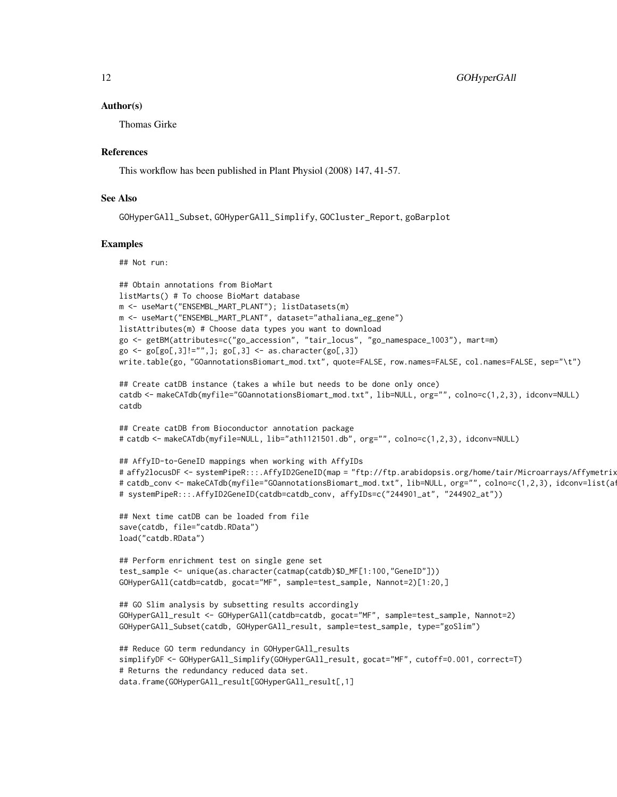#### Author(s)

Thomas Girke

# References

This workflow has been published in Plant Physiol (2008) 147, 41-57.

# See Also

```
GOHyperGAll_Subset, GOHyperGAll_Simplify, GOCluster_Report, goBarplot
```
# Examples

## Not run:

```
## Obtain annotations from BioMart
listMarts() # To choose BioMart database
m <- useMart("ENSEMBL_MART_PLANT"); listDatasets(m)
m <- useMart("ENSEMBL_MART_PLANT", dataset="athaliana_eg_gene")
listAttributes(m) # Choose data types you want to download
go <- getBM(attributes=c("go_accession", "tair_locus", "go_namespace_1003"), mart=m)
go \leftarrow go[go[, 3] != "",]; go[, 3] \leftarrow as.charAt (go[, 3])write.table(go, "GOannotationsBiomart_mod.txt", quote=FALSE, row.names=FALSE, col.names=FALSE, sep="\t")
## Create catDB instance (takes a while but needs to be done only once)
catdb <- makeCATdb(myfile="GOannotationsBiomart_mod.txt", lib=NULL, org="", colno=c(1,2,3), idconv=NULL)
catdb
## Create catDB from Bioconductor annotation package
# catdb <- makeCATdb(myfile=NULL, lib="ath1121501.db", org="", colno=c(1,2,3), idconv=NULL)
## AffyID-to-GeneID mappings when working with AffyIDs
# affy2locusDF <- systemPipeR:::.AffyID2GeneID(map = "ftp://ftp.arabidopsis.org/home/tair/Microarrays/Affymetrix
# catdb_conv <- makeCATdb(myfile="GOannotationsBiomart_mod.txt", lib=NULL, org="", colno=c(1,2,3), idconv=list(a<sup>-</sup>
# systemPipeR:::.AffyID2GeneID(catdb=catdb_conv, affyIDs=c("244901_at", "244902_at"))
## Next time catDB can be loaded from file
save(catdb, file="catdb.RData")
load("catdb.RData")
## Perform enrichment test on single gene set
test_sample <- unique(as.character(catmap(catdb)$D_MF[1:100,"GeneID"]))
GOHyperGAll(catdb=catdb, gocat="MF", sample=test_sample, Nannot=2)[1:20,]
## GO Slim analysis by subsetting results accordingly
GOHyperGAll_result <- GOHyperGAll(catdb=catdb, gocat="MF", sample=test_sample, Nannot=2)
GOHyperGAll_Subset(catdb, GOHyperGAll_result, sample=test_sample, type="goSlim")
## Reduce GO term redundancy in GOHyperGAll_results
simplifyDF <- GOHyperGAll_Simplify(GOHyperGAll_result, gocat="MF", cutoff=0.001, correct=T)
# Returns the redundancy reduced data set.
```

```
data.frame(GOHyperGAll_result[GOHyperGAll_result[,1]
```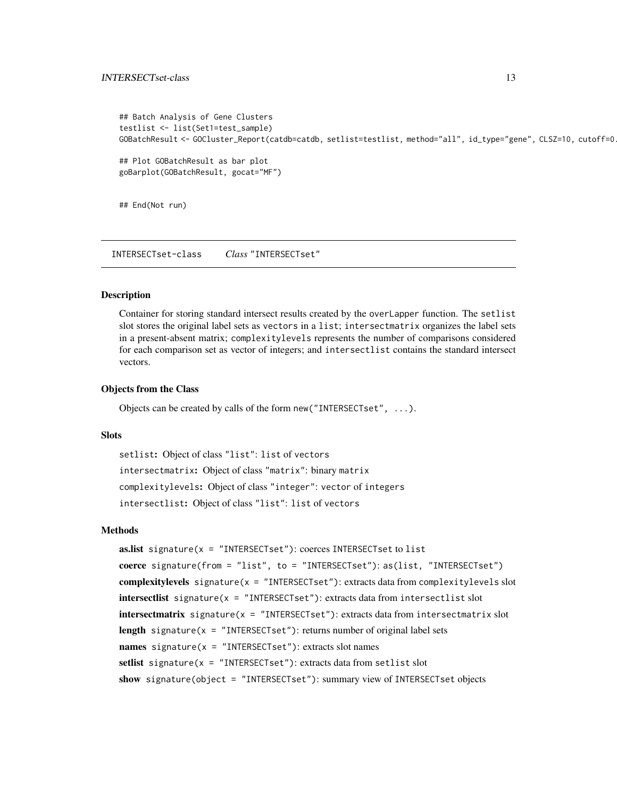```
## Batch Analysis of Gene Clusters
testlist <- list(Set1=test_sample)
GOBatchResult <- GOCluster_Report(catdb=catdb, setlist=testlist, method="all", id_type="gene", CLSZ=10, cutoff=0
## Plot GOBatchResult as bar plot
goBarplot(GOBatchResult, gocat="MF")
```
## End(Not run)

INTERSECTset-class *Class* "INTERSECTset"

# **Description**

Container for storing standard intersect results created by the overLapper function. The setlist slot stores the original label sets as vectors in a list; intersectmatrix organizes the label sets in a present-absent matrix; complexitylevels represents the number of comparisons considered for each comparison set as vector of integers; and intersectlist contains the standard intersect vectors.

# Objects from the Class

Objects can be created by calls of the form new("INTERSECTset", ...).

# **Slots**

```
setlist: Object of class "list": list of vectors
intersectmatrix: Object of class "matrix": binary matrix
complexitylevels: Object of class "integer": vector of integers
intersectlist: Object of class "list": list of vectors
```
# Methods

```
as.list signature(x = "INTERSECTION: coerces INTERSECTset to list
coerce signature(from = "list", to = "INTERSECTset"): as(list, "INTERSECTset")
complexitylevels signature(x = "INTERSECTset"): extracts data from complexitylevels slot
intersectlist signature(x = "INTERSECTset"): extracts data from intersectlist slot
intersectmatrix signature(x = "INTERSECTset"): extracts data from intersectmatrix slot
length signature(x = "INTERSECTION: returns number of original label setsnames signature(x = "INTERSECTION: extracts slot namessetlist signature(x = "INTERSECTset"): extracts data from setlist slot
show signature(object = "INTERSECTset"): summary view of INTERSECTset objects
```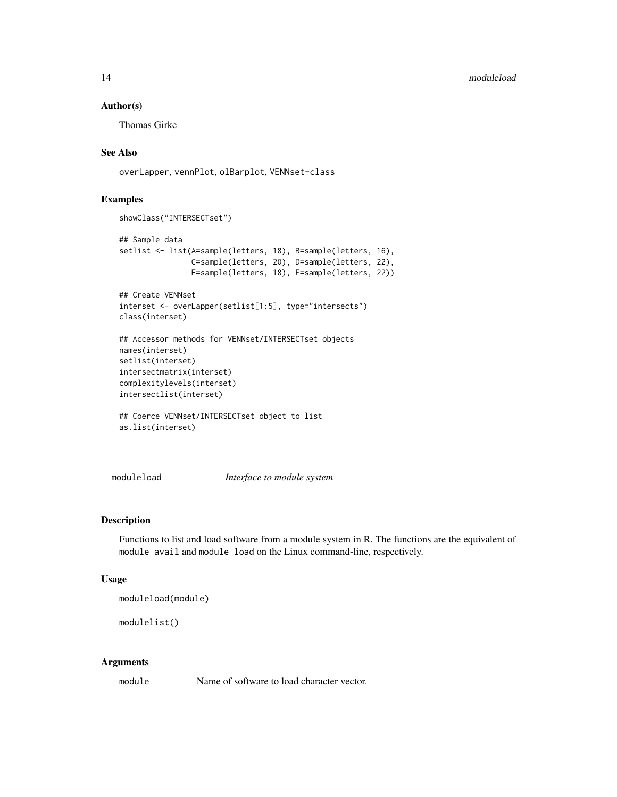# Author(s)

Thomas Girke

# See Also

overLapper, vennPlot, olBarplot, VENNset-class

# Examples

```
showClass("INTERSECTset")
## Sample data
setlist <- list(A=sample(letters, 18), B=sample(letters, 16),
                C=sample(letters, 20), D=sample(letters, 22),
                E=sample(letters, 18), F=sample(letters, 22))
## Create VENNset
interset <- overLapper(setlist[1:5], type="intersects")
class(interset)
## Accessor methods for VENNset/INTERSECTset objects
names(interset)
setlist(interset)
intersectmatrix(interset)
complexitylevels(interset)
intersectlist(interset)
## Coerce VENNset/INTERSECTset object to list
as.list(interset)
```
moduleload *Interface to module system*

# Description

Functions to list and load software from a module system in R. The functions are the equivalent of module avail and module load on the Linux command-line, respectively.

# Usage

moduleload(module)

modulelist()

#### Arguments

module Name of software to load character vector.

<span id="page-13-0"></span>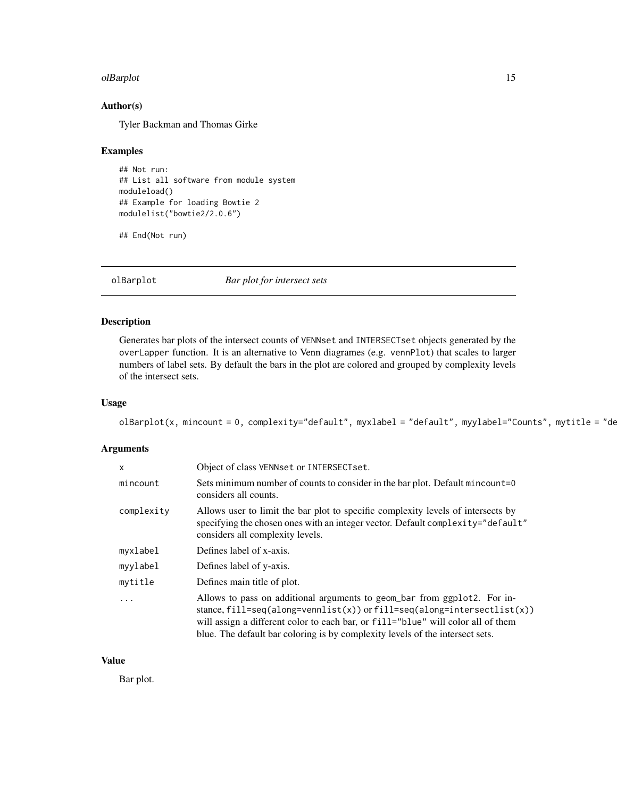#### <span id="page-14-0"></span>olBarplot the contract of the contract of the contract of the contract of the contract of the contract of the contract of the contract of the contract of the contract of the contract of the contract of the contract of the

# Author(s)

Tyler Backman and Thomas Girke

#### Examples

```
## Not run:
## List all software from module system
moduleload()
## Example for loading Bowtie 2
modulelist("bowtie2/2.0.6")
```
## End(Not run)

olBarplot *Bar plot for intersect sets*

# Description

Generates bar plots of the intersect counts of VENNset and INTERSECTset objects generated by the overLapper function. It is an alternative to Venn diagrames (e.g. vennPlot) that scales to larger numbers of label sets. By default the bars in the plot are colored and grouped by complexity levels of the intersect sets.

# Usage

```
olBarplot(x, mincount = 0, complexity="default", myxlabel = "default", myylabel="Counts", mytitle = "de
```
# Arguments

| $\mathsf{x}$ | Object of class VENNset or INTERSECTset.                                                                                                                                                                                                                                                                                 |
|--------------|--------------------------------------------------------------------------------------------------------------------------------------------------------------------------------------------------------------------------------------------------------------------------------------------------------------------------|
| mincount     | Sets minimum number of counts to consider in the bar plot. Default mincount=0<br>considers all counts.                                                                                                                                                                                                                   |
| complexity   | Allows user to limit the bar plot to specific complexity levels of intersects by<br>specifying the chosen ones with an integer vector. Default complexity="default"<br>considers all complexity levels.                                                                                                                  |
| myxlabel     | Defines label of x-axis.                                                                                                                                                                                                                                                                                                 |
| myylabel     | Defines label of y-axis.                                                                                                                                                                                                                                                                                                 |
| mytitle      | Defines main title of plot.                                                                                                                                                                                                                                                                                              |
| $\ddots$     | Allows to pass on additional arguments to geom_bar from ggplot2. For in-<br>stance, fill=seq(along=vennlist(x)) or fill=seq(along=intersectlist(x))<br>will assign a different color to each bar, or fill="blue" will color all of them<br>blue. The default bar coloring is by complexity levels of the intersect sets. |

# Value

Bar plot.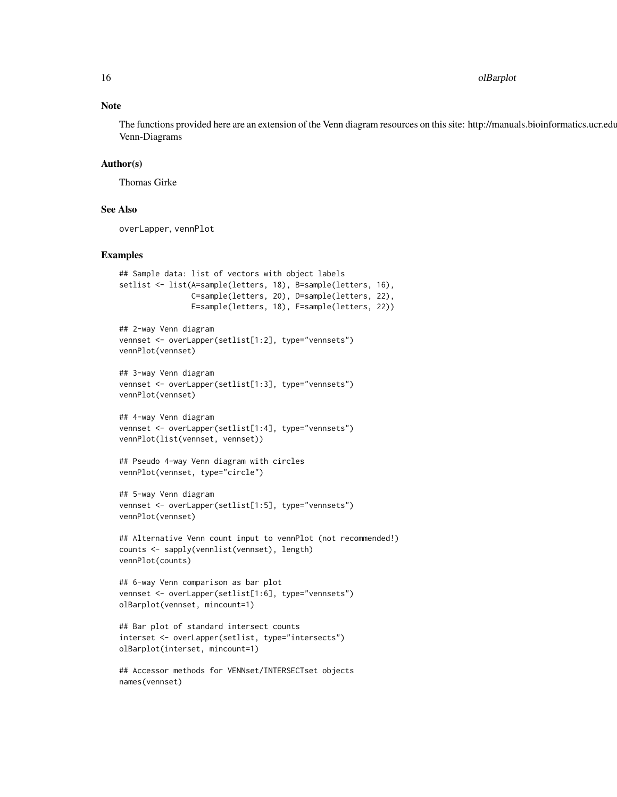16 olBarplot

# Note

The functions provided here are an extension of the Venn diagram resources on this site: http://manuals.bioinformatics.ucr.edu Venn-Diagrams

# Author(s)

Thomas Girke

# See Also

overLapper, vennPlot

# Examples

```
## Sample data: list of vectors with object labels
setlist <- list(A=sample(letters, 18), B=sample(letters, 16),
                C=sample(letters, 20), D=sample(letters, 22),
                E=sample(letters, 18), F=sample(letters, 22))
## 2-way Venn diagram
vennset <- overLapper(setlist[1:2], type="vennsets")
vennPlot(vennset)
## 3-way Venn diagram
vennset <- overLapper(setlist[1:3], type="vennsets")
vennPlot(vennset)
## 4-way Venn diagram
vennset <- overLapper(setlist[1:4], type="vennsets")
vennPlot(list(vennset, vennset))
## Pseudo 4-way Venn diagram with circles
vennPlot(vennset, type="circle")
## 5-way Venn diagram
vennset <- overLapper(setlist[1:5], type="vennsets")
vennPlot(vennset)
## Alternative Venn count input to vennPlot (not recommended!)
counts <- sapply(vennlist(vennset), length)
vennPlot(counts)
## 6-way Venn comparison as bar plot
vennset <- overLapper(setlist[1:6], type="vennsets")
olBarplot(vennset, mincount=1)
## Bar plot of standard intersect counts
interset <- overLapper(setlist, type="intersects")
olBarplot(interset, mincount=1)
## Accessor methods for VENNset/INTERSECTset objects
```
names(vennset)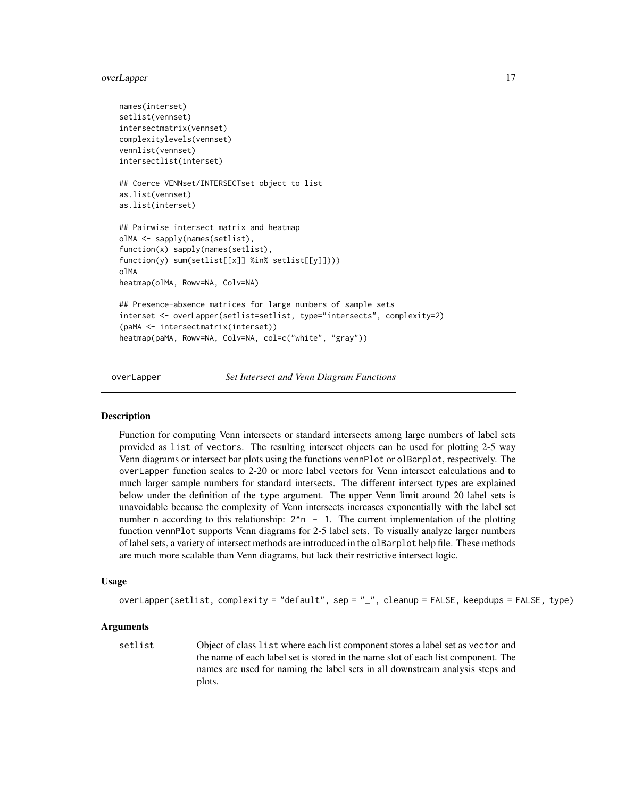# <span id="page-16-0"></span>overLapper 17

```
names(interset)
setlist(vennset)
intersectmatrix(vennset)
complexitylevels(vennset)
vennlist(vennset)
intersectlist(interset)
## Coerce VENNset/INTERSECTset object to list
as.list(vennset)
as.list(interset)
## Pairwise intersect matrix and heatmap
olMA <- sapply(names(setlist),
function(x) sapply(names(setlist),
function(y) sum(setlist[[x]] %in% setlist[[y]])))
olMA
heatmap(olMA, Rowv=NA, Colv=NA)
## Presence-absence matrices for large numbers of sample sets
interset <- overLapper(setlist=setlist, type="intersects", complexity=2)
(paMA <- intersectmatrix(interset))
heatmap(paMA, Rowv=NA, Colv=NA, col=c("white", "gray"))
```
overLapper *Set Intersect and Venn Diagram Functions*

#### **Description**

Function for computing Venn intersects or standard intersects among large numbers of label sets provided as list of vectors. The resulting intersect objects can be used for plotting 2-5 way Venn diagrams or intersect bar plots using the functions vennPlot or olBarplot, respectively. The overLapper function scales to 2-20 or more label vectors for Venn intersect calculations and to much larger sample numbers for standard intersects. The different intersect types are explained below under the definition of the type argument. The upper Venn limit around 20 label sets is unavoidable because the complexity of Venn intersects increases exponentially with the label set number n according to this relationship:  $2^n - 1$ . The current implementation of the plotting function vennPlot supports Venn diagrams for 2-5 label sets. To visually analyze larger numbers of label sets, a variety of intersect methods are introduced in the olBarplot help file. These methods are much more scalable than Venn diagrams, but lack their restrictive intersect logic.

# Usage

```
overLapper(setlist, complexity = "default", sep = "_", cleanup = FALSE, keepdups = FALSE, type)
```
# **Arguments**

setlist Object of class list where each list component stores a label set as vector and the name of each label set is stored in the name slot of each list component. The names are used for naming the label sets in all downstream analysis steps and plots.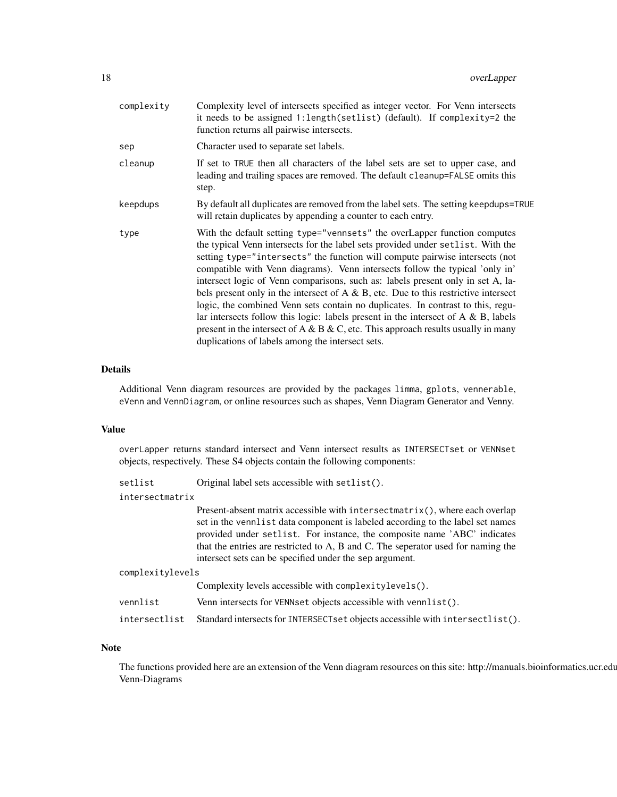| complexity | Complexity level of intersects specified as integer vector. For Venn intersects<br>it needs to be assigned 1: length(setlist) (default). If complexity=2 the<br>function returns all pairwise intersects.                                                                                                                                                                                                                                                                                                                                                                                                                                                                                                                                                                                                                         |
|------------|-----------------------------------------------------------------------------------------------------------------------------------------------------------------------------------------------------------------------------------------------------------------------------------------------------------------------------------------------------------------------------------------------------------------------------------------------------------------------------------------------------------------------------------------------------------------------------------------------------------------------------------------------------------------------------------------------------------------------------------------------------------------------------------------------------------------------------------|
| sep        | Character used to separate set labels.                                                                                                                                                                                                                                                                                                                                                                                                                                                                                                                                                                                                                                                                                                                                                                                            |
| cleanup    | If set to TRUE then all characters of the label sets are set to upper case, and<br>leading and trailing spaces are removed. The default cleanup=FALSE omits this<br>step.                                                                                                                                                                                                                                                                                                                                                                                                                                                                                                                                                                                                                                                         |
| keepdups   | By default all duplicates are removed from the label sets. The setting keepdups=TRUE<br>will retain duplicates by appending a counter to each entry.                                                                                                                                                                                                                                                                                                                                                                                                                                                                                                                                                                                                                                                                              |
| type       | With the default setting type="vennsets" the overLapper function computes<br>the typical Venn intersects for the label sets provided under set list. With the<br>setting type="intersects" the function will compute pairwise intersects (not<br>compatible with Venn diagrams). Venn intersects follow the typical 'only in'<br>intersect logic of Venn comparisons, such as: labels present only in set A, la-<br>bels present only in the intersect of $A \& B$ , etc. Due to this restrictive intersect<br>logic, the combined Venn sets contain no duplicates. In contrast to this, regu-<br>lar intersects follow this logic: labels present in the intersect of $A \& B$ , labels<br>present in the intersect of A & B & C, etc. This approach results usually in many<br>duplications of labels among the intersect sets. |

# Details

Additional Venn diagram resources are provided by the packages limma, gplots, vennerable, eVenn and VennDiagram, or online resources such as shapes, Venn Diagram Generator and Venny.

#### Value

overLapper returns standard intersect and Venn intersect results as INTERSECTset or VENNset objects, respectively. These S4 objects contain the following components:

| setlist          | Original label sets accessible with setlist().                                                                                                                                                                                                                                                                                                                                           |
|------------------|------------------------------------------------------------------------------------------------------------------------------------------------------------------------------------------------------------------------------------------------------------------------------------------------------------------------------------------------------------------------------------------|
| intersectmatrix  |                                                                                                                                                                                                                                                                                                                                                                                          |
|                  | Present-absent matrix accessible with intersectmatrix(), where each overlap<br>set in the vennlist data component is labeled according to the label set names<br>provided under setlist. For instance, the composite name 'ABC' indicates<br>that the entries are restricted to A, B and C. The seperator used for naming the<br>intersect sets can be specified under the sep argument. |
| complexitylevels |                                                                                                                                                                                                                                                                                                                                                                                          |
|                  | Complexity levels accessible with complexity levels().                                                                                                                                                                                                                                                                                                                                   |
| vennlist         | Venn intersects for VENNset objects accessible with vennlist().                                                                                                                                                                                                                                                                                                                          |
| intersectlist    | Standard intersects for INTERSECTset objects accessible with intersectlist().                                                                                                                                                                                                                                                                                                            |

# Note

The functions provided here are an extension of the Venn diagram resources on this site: http://manuals.bioinformatics.ucr.edu Venn-Diagrams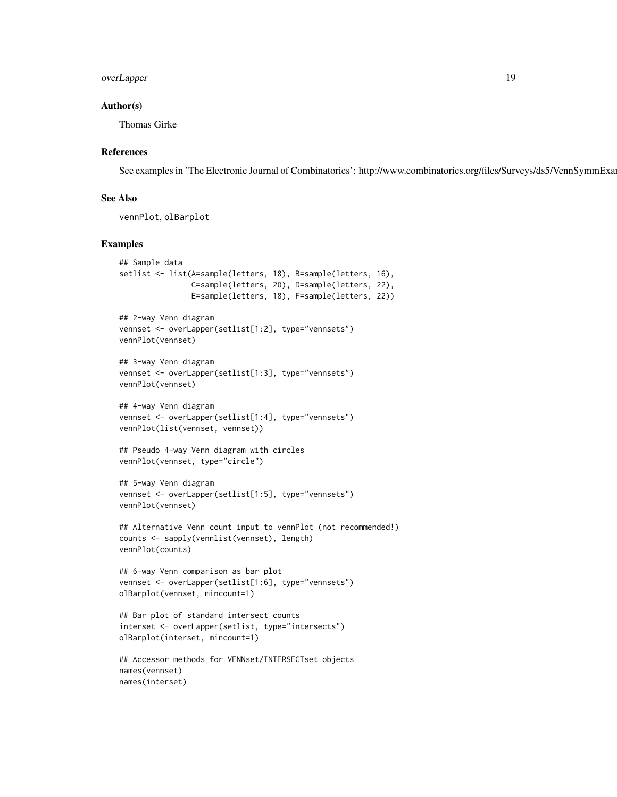# overLapper 19

# Author(s)

Thomas Girke

# References

See examples in 'The Electronic Journal of Combinatorics': http://www.combinatorics.org/files/Surveys/ds5/VennSymmExa

# See Also

vennPlot, olBarplot

# Examples

```
## Sample data
setlist <- list(A=sample(letters, 18), B=sample(letters, 16),
                C=sample(letters, 20), D=sample(letters, 22),
                E=sample(letters, 18), F=sample(letters, 22))
## 2-way Venn diagram
vennset <- overLapper(setlist[1:2], type="vennsets")
vennPlot(vennset)
## 3-way Venn diagram
vennset <- overLapper(setlist[1:3], type="vennsets")
vennPlot(vennset)
## 4-way Venn diagram
vennset <- overLapper(setlist[1:4], type="vennsets")
vennPlot(list(vennset, vennset))
## Pseudo 4-way Venn diagram with circles
vennPlot(vennset, type="circle")
## 5-way Venn diagram
vennset <- overLapper(setlist[1:5], type="vennsets")
vennPlot(vennset)
## Alternative Venn count input to vennPlot (not recommended!)
counts <- sapply(vennlist(vennset), length)
vennPlot(counts)
## 6-way Venn comparison as bar plot
vennset <- overLapper(setlist[1:6], type="vennsets")
olBarplot(vennset, mincount=1)
## Bar plot of standard intersect counts
interset <- overLapper(setlist, type="intersects")
olBarplot(interset, mincount=1)
```

```
## Accessor methods for VENNset/INTERSECTset objects
names(vennset)
names(interset)
```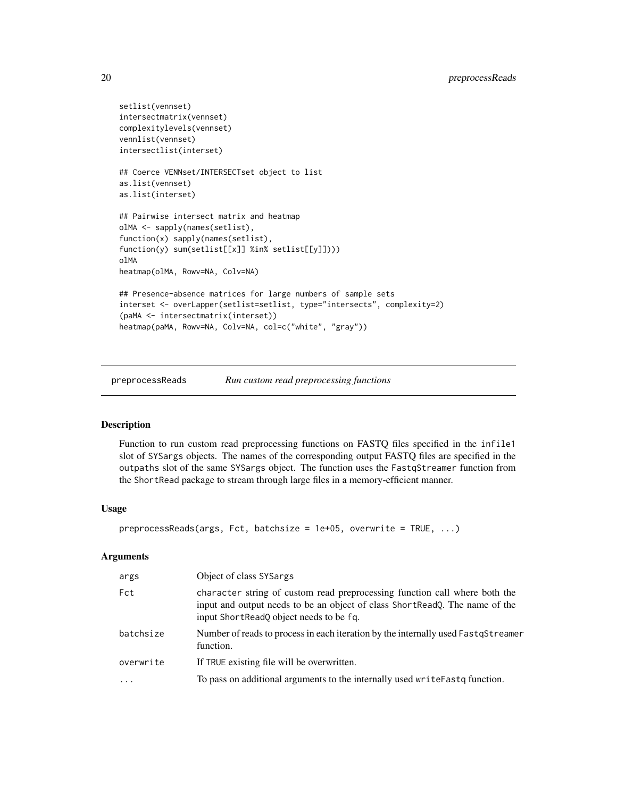```
setlist(vennset)
intersectmatrix(vennset)
complexitylevels(vennset)
vennlist(vennset)
intersectlist(interset)
## Coerce VENNset/INTERSECTset object to list
as.list(vennset)
as.list(interset)
## Pairwise intersect matrix and heatmap
olMA <- sapply(names(setlist),
function(x) sapply(names(setlist),
function(y) sum(setlist[[x]] %in% setlist[[y]])))
olMA
heatmap(olMA, Rowv=NA, Colv=NA)
## Presence-absence matrices for large numbers of sample sets
interset <- overLapper(setlist=setlist, type="intersects", complexity=2)
(paMA <- intersectmatrix(interset))
heatmap(paMA, Rowv=NA, Colv=NA, col=c("white", "gray"))
```
preprocessReads *Run custom read preprocessing functions*

# Description

Function to run custom read preprocessing functions on FASTQ files specified in the infile1 slot of SYSargs objects. The names of the corresponding output FASTQ files are specified in the outpaths slot of the same SYSargs object. The function uses the FastqStreamer function from the ShortRead package to stream through large files in a memory-efficient manner.

# Usage

```
preprocessReads(args, Fct, batchsize = 1e+05, overwrite = TRUE, ...)
```
# Arguments

| args      | Object of class SYSargs                                                                                                                                                                              |
|-----------|------------------------------------------------------------------------------------------------------------------------------------------------------------------------------------------------------|
| Fct       | character string of custom read preprocessing function call where both the<br>input and output needs to be an object of class ShortReadQ. The name of the<br>input ShortReadQ object needs to be fq. |
| batchsize | Number of reads to process in each iteration by the internally used FastqStreamer<br>function.                                                                                                       |
| overwrite | If TRUE existing file will be overwritten.                                                                                                                                                           |
| $\cdot$   | To pass on additional arguments to the internally used writeFastq function.                                                                                                                          |

<span id="page-19-0"></span>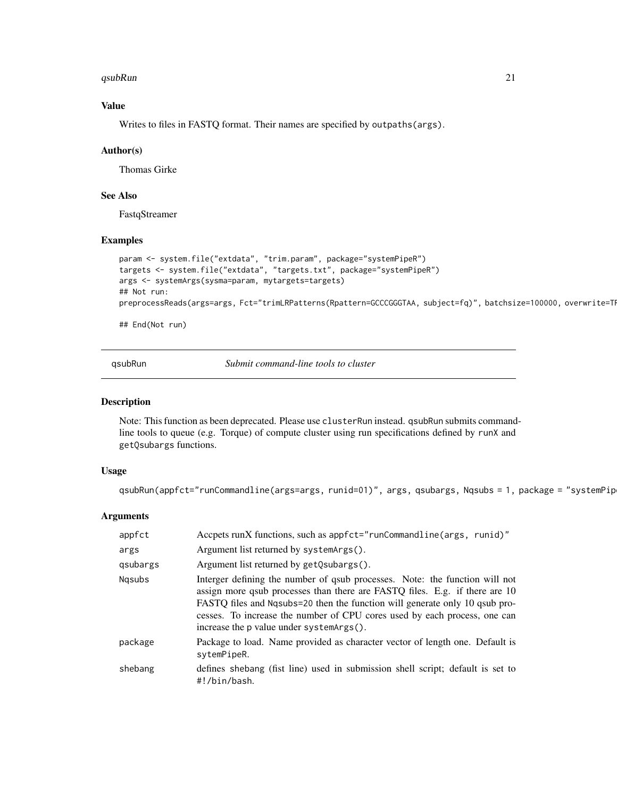#### <span id="page-20-0"></span>qsubRun 21 bis 2008 at 2008 at 2008 at 2008 at 2008 at 2008 at 2008 at 2008 at 2008 at 2008 at 2008 at 2008 at 2008 at 2008 at 2008 at 2008 at 2008 at 2008 at 2008 at 2008 at 2008 at 2008 at 2008 at 2008 at 2008 at 2008 at

# Value

Writes to files in FASTQ format. Their names are specified by outpaths(args).

# Author(s)

Thomas Girke

# See Also

FastqStreamer

## Examples

```
param <- system.file("extdata", "trim.param", package="systemPipeR")
targets <- system.file("extdata", "targets.txt", package="systemPipeR")
args <- systemArgs(sysma=param, mytargets=targets)
## Not run:
preprocessReads(args=args, Fct="trimLRPatterns(Rpattern=GCCCGGGTAA, subject=fq)", batchsize=100000, overwrite=TI
```
## End(Not run)

qsubRun *Submit command-line tools to cluster*

# Description

Note: This function as been deprecated. Please use clusterRun instead. qsubRun submits commandline tools to queue (e.g. Torque) of compute cluster using run specifications defined by runX and getQsubargs functions.

# Usage

```
qsubRun(appfct="runCommandline(args=args, runid=01)", args, qsubargs, Nqsubs = 1, package = "systemPip
```
# Arguments

| appfct   | Accpets runX functions, such as appfct="runCommandline(args, runid)"                                                                                                                                                                                                                                                                                                |
|----------|---------------------------------------------------------------------------------------------------------------------------------------------------------------------------------------------------------------------------------------------------------------------------------------------------------------------------------------------------------------------|
| args     | Argument list returned by system Args().                                                                                                                                                                                                                                                                                                                            |
| gsubargs | Argument list returned by getQsubargs().                                                                                                                                                                                                                                                                                                                            |
| Ngsubs   | Interger defining the number of qsub processes. Note: the function will not<br>assign more qsub processes than there are FASTQ files. E.g. if there are 10<br>FASTQ files and Ngsubs=20 then the function will generate only 10 qsub pro-<br>cesses. To increase the number of CPU cores used by each process, one can<br>increase the p value under system Args(). |
| package  | Package to load. Name provided as character vector of length one. Default is<br>sytemPipeR.                                                                                                                                                                                                                                                                         |
| shebang  | defines shebang (fist line) used in submission shell script; default is set to<br>#!/bin/bash.                                                                                                                                                                                                                                                                      |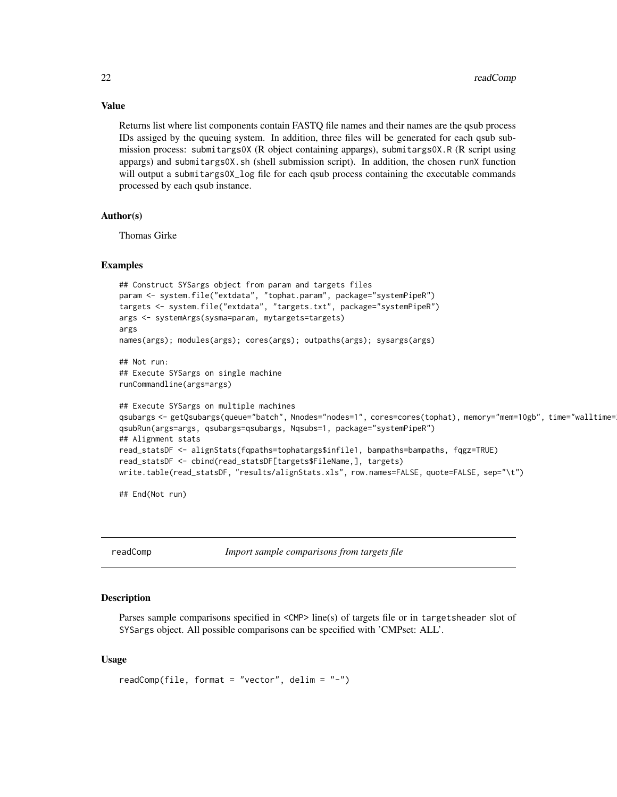Returns list where list components contain FASTQ file names and their names are the qsub process IDs assiged by the queuing system. In addition, three files will be generated for each qsub submission process: submitargs0X (R object containing appargs), submitargs0X.R (R script using appargs) and submitargs0X.sh (shell submission script). In addition, the chosen runX function will output a submitargs0X\_log file for each qsub process containing the executable commands processed by each qsub instance.

# Author(s)

Thomas Girke

# Examples

```
## Construct SYSargs object from param and targets files
param <- system.file("extdata", "tophat.param", package="systemPipeR")
targets <- system.file("extdata", "targets.txt", package="systemPipeR")
args <- systemArgs(sysma=param, mytargets=targets)
args
names(args); modules(args); cores(args); outpaths(args); sysargs(args)
## Not run:
## Execute SYSargs on single machine
runCommandline(args=args)
## Execute SYSargs on multiple machines
qsubargs <- getQsubargs(queue="batch", Nnodes="nodes=1", cores=cores(tophat), memory="mem=10gb", time="walltime=20:00:00")
qsubRun(args=args, qsubargs=qsubargs, Nqsubs=1, package="systemPipeR")
## Alignment stats
read_statsDF <- alignStats(fqpaths=tophatargs$infile1, bampaths=bampaths, fqgz=TRUE)
read_statsDF <- cbind(read_statsDF[targets$FileName,], targets)
write.table(read_statsDF, "results/alignStats.xls", row.names=FALSE, quote=FALSE, sep="\t")
```
## End(Not run)

readComp *Import sample comparisons from targets file*

# Description

Parses sample comparisons specified in <CMP> line(s) of targets file or in targetsheader slot of SYSargs object. All possible comparisons can be specified with 'CMPset: ALL'.

# Usage

```
readComp(file, format = "vector", delim = "-")
```
<span id="page-21-0"></span>

# Value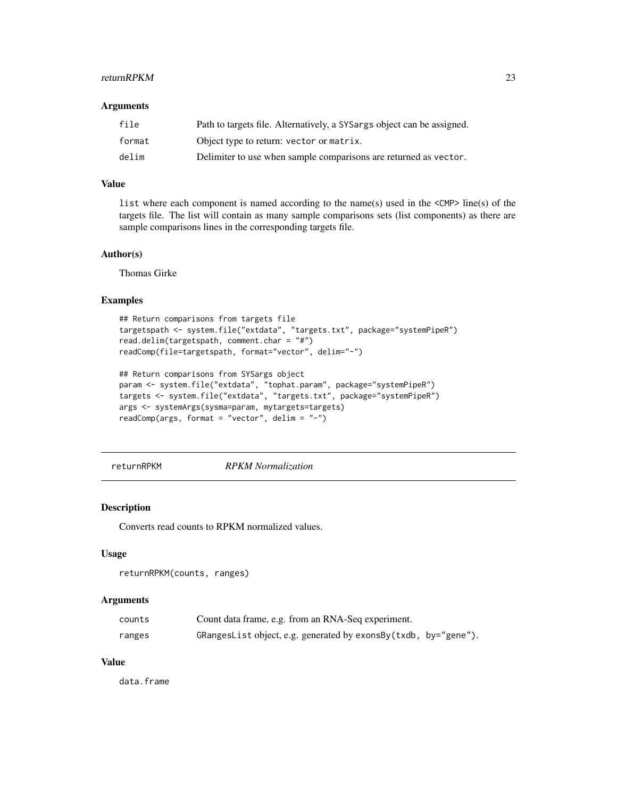#### <span id="page-22-0"></span>returnRPKM 23

#### Arguments

| file   | Path to targets file. Alternatively, a SYSargs object can be assigned. |
|--------|------------------------------------------------------------------------|
| format | Object type to return: vector or matrix.                               |
| delim  | Delimiter to use when sample comparisons are returned as vector.       |

# Value

list where each component is named according to the name(s) used in the <CMP> line(s) of the targets file. The list will contain as many sample comparisons sets (list components) as there are sample comparisons lines in the corresponding targets file.

# Author(s)

Thomas Girke

#### Examples

```
## Return comparisons from targets file
targetspath <- system.file("extdata", "targets.txt", package="systemPipeR")
read.delim(targetspath, comment.char = "#")
readComp(file=targetspath, format="vector", delim="-")
```

```
## Return comparisons from SYSargs object
param <- system.file("extdata", "tophat.param", package="systemPipeR")
targets <- system.file("extdata", "targets.txt", package="systemPipeR")
args <- systemArgs(sysma=param, mytargets=targets)
readComp(args, format = "vector", delim = "-")
```
returnRPKM *RPKM Normalization*

#### Description

Converts read counts to RPKM normalized values.

# Usage

```
returnRPKM(counts, ranges)
```
#### Arguments

| counts | Count data frame, e.g. from an RNA-Seq experiment.              |  |
|--------|-----------------------------------------------------------------|--|
| ranges | GRangesList object, e.g. generated by exonsBy(txdb, by="gene"). |  |

# Value

data.frame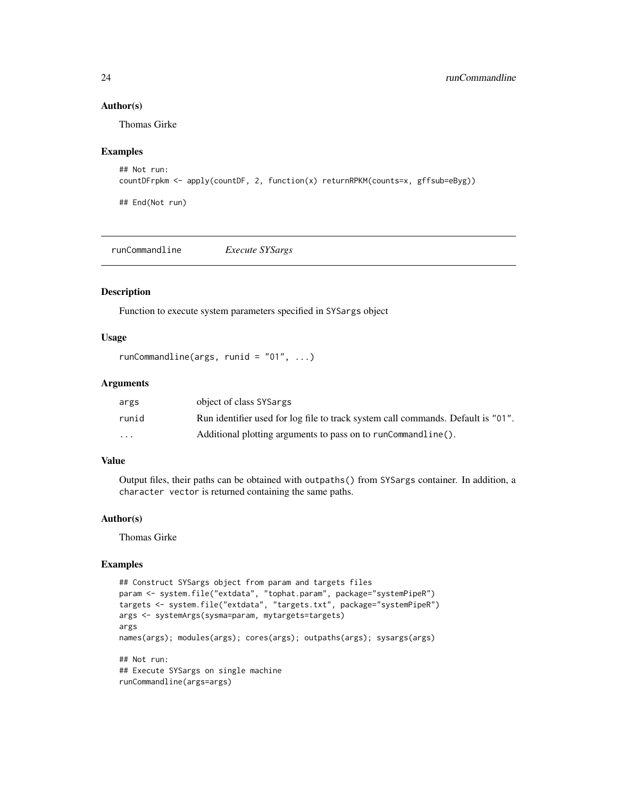# Author(s)

Thomas Girke

# Examples

```
## Not run:
countDFrpkm <- apply(countDF, 2, function(x) returnRPKM(counts=x, gffsub=eByg))
## End(Not run)
```

|--|--|--|--|--|

# Description

Function to execute system parameters specified in SYSargs object

# Usage

```
runCommandline(args, runid = "01", ...)
```
# Arguments

| args                    | object of class SYSargs                                                          |
|-------------------------|----------------------------------------------------------------------------------|
| runid                   | Run identifier used for log file to track system call commands. Default is "01". |
| $\cdot$ $\cdot$ $\cdot$ | Additional plotting arguments to pass on to runCommandline().                    |

# Value

Output files, their paths can be obtained with outpaths() from SYSargs container. In addition, a character vector is returned containing the same paths.

# Author(s)

Thomas Girke

# Examples

```
## Construct SYSargs object from param and targets files
param <- system.file("extdata", "tophat.param", package="systemPipeR")
targets <- system.file("extdata", "targets.txt", package="systemPipeR")
args <- systemArgs(sysma=param, mytargets=targets)
args
names(args); modules(args); cores(args); outpaths(args); sysargs(args)
## Not run:
## Execute SYSargs on single machine
runCommandline(args=args)
```
<span id="page-23-0"></span>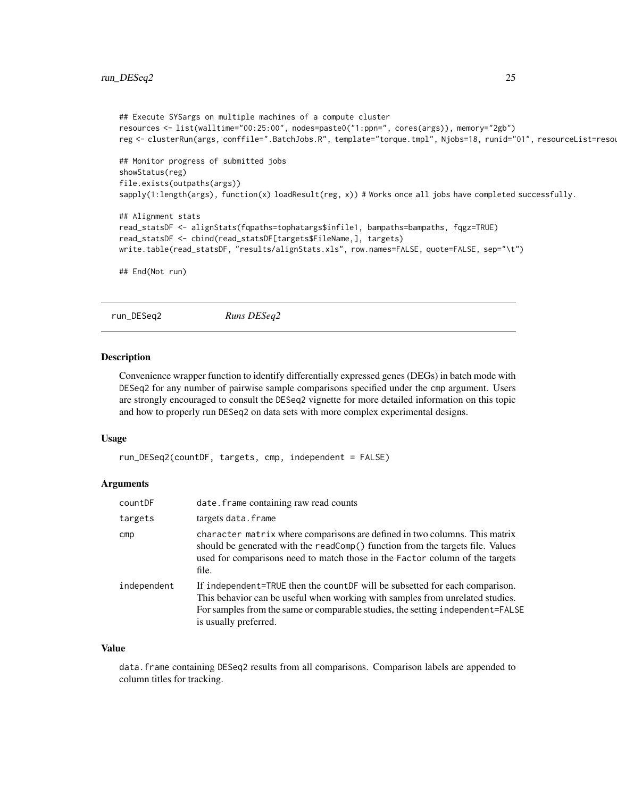```
## Execute SYSargs on multiple machines of a compute cluster
resources <- list(walltime="00:25:00", nodes=paste0("1:ppn=", cores(args)), memory="2gb")
reg <- clusterRun(args, conffile=".BatchJobs.R", template="torque.tmpl", Njobs=18, runid="01", resourceList=resou
## Monitor progress of submitted jobs
showStatus(reg)
file.exists(outpaths(args))
sapply(1:length(args), function(x) loadResult(reg, x)) # Works once all jobs have completed successfully.
## Alignment stats
read_statsDF <- alignStats(fqpaths=tophatargs$infile1, bampaths=bampaths, fqgz=TRUE)
read_statsDF <- cbind(read_statsDF[targets$FileName,], targets)
write.table(read_statsDF, "results/alignStats.xls", row.names=FALSE, quote=FALSE, sep="\t")
## End(Not run)
```

```
run_DESeq2 Runs DESeq2
```
#### Description

Convenience wrapper function to identify differentially expressed genes (DEGs) in batch mode with DESeq2 for any number of pairwise sample comparisons specified under the cmp argument. Users are strongly encouraged to consult the DESeq2 vignette for more detailed information on this topic and how to properly run DESeq2 on data sets with more complex experimental designs.

#### Usage

```
run_DESeq2(countDF, targets, cmp, independent = FALSE)
```
# Arguments

| countDF     | date. frame containing raw read counts                                                                                                                                                                                                                                  |
|-------------|-------------------------------------------------------------------------------------------------------------------------------------------------------------------------------------------------------------------------------------------------------------------------|
| targets     | targets data.frame                                                                                                                                                                                                                                                      |
| cmp         | character matrix where comparisons are defined in two columns. This matrix<br>should be generated with the readComp() function from the targets file. Values<br>used for comparisons need to match those in the Factor column of the targets<br>file.                   |
| independent | If independent=TRUE then the countDF will be subsetted for each comparison.<br>This behavior can be useful when working with samples from unrelated studies.<br>For samples from the same or comparable studies, the setting independent=FALSE<br>is usually preferred. |

# Value

data.frame containing DESeq2 results from all comparisons. Comparison labels are appended to column titles for tracking.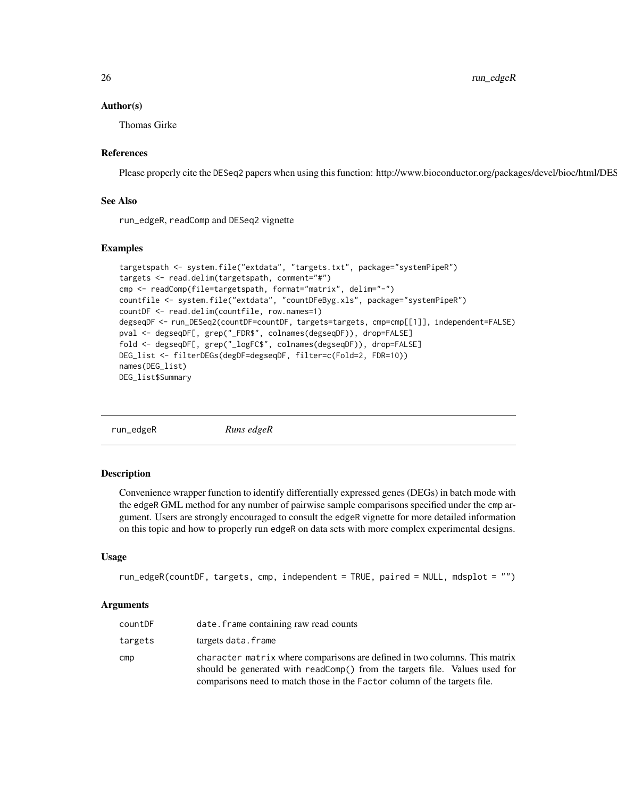<span id="page-25-0"></span>26 run\_edgeR

# Author(s)

Thomas Girke

# References

Please properly cite the DESeq2 papers when using this function: http://www.bioconductor.org/packages/devel/bioc/html/DES

# See Also

run\_edgeR, readComp and DESeq2 vignette

# Examples

```
targetspath <- system.file("extdata", "targets.txt", package="systemPipeR")
targets <- read.delim(targetspath, comment="#")
cmp <- readComp(file=targetspath, format="matrix", delim="-")
countfile <- system.file("extdata", "countDFeByg.xls", package="systemPipeR")
countDF <- read.delim(countfile, row.names=1)
degseqDF <- run_DESeq2(countDF=countDF, targets=targets, cmp=cmp[[1]], independent=FALSE)
pval <- degseqDF[, grep("_FDR$", colnames(degseqDF)), drop=FALSE]
fold <- degseqDF[, grep("_logFC$", colnames(degseqDF)), drop=FALSE]
DEG_list <- filterDEGs(degDF=degseqDF, filter=c(Fold=2, FDR=10))
names(DEG_list)
DEG_list$Summary
```
run\_edgeR *Runs edgeR*

# **Description**

Convenience wrapper function to identify differentially expressed genes (DEGs) in batch mode with the edgeR GML method for any number of pairwise sample comparisons specified under the cmp argument. Users are strongly encouraged to consult the edgeR vignette for more detailed information on this topic and how to properly run edgeR on data sets with more complex experimental designs.

#### Usage

```
run_edgeR(countDF, targets, cmp, independent = TRUE, paired = NULL, mdsplot = "")
```
#### Arguments

| countDF | date, frame containing raw read counts                                                                                                                                                                                                |
|---------|---------------------------------------------------------------------------------------------------------------------------------------------------------------------------------------------------------------------------------------|
| targets | targets data.frame                                                                                                                                                                                                                    |
| cmp     | character matrix where comparisons are defined in two columns. This matrix<br>should be generated with readComp() from the targets file. Values used for<br>comparisons need to match those in the Factor column of the targets file. |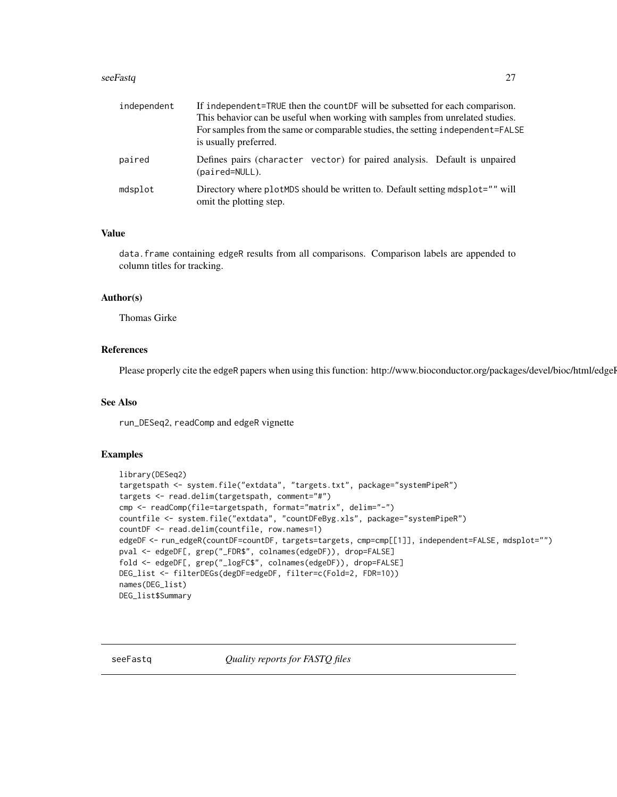#### <span id="page-26-0"></span>seeFastq 27

| independent | If independent=TRUE then the countDF will be subsetted for each comparison.<br>This behavior can be useful when working with samples from unrelated studies.<br>For samples from the same or comparable studies, the setting independent=FALSE<br>is usually preferred. |
|-------------|-------------------------------------------------------------------------------------------------------------------------------------------------------------------------------------------------------------------------------------------------------------------------|
| paired      | Defines pairs (character vector) for paired analysis. Default is unpaired<br>(paired=NULL).                                                                                                                                                                             |
| mdsplot     | Directory where plotMDS should be written to. Default setting mdsplot="" will<br>omit the plotting step.                                                                                                                                                                |

# Value

data.frame containing edgeR results from all comparisons. Comparison labels are appended to column titles for tracking.

# Author(s)

Thomas Girke

# References

Please properly cite the edgeR papers when using this function: http://www.bioconductor.org/packages/devel/bioc/html/edgel

# See Also

run\_DESeq2, readComp and edgeR vignette

# Examples

```
library(DESeq2)
targetspath <- system.file("extdata", "targets.txt", package="systemPipeR")
targets <- read.delim(targetspath, comment="#")
cmp <- readComp(file=targetspath, format="matrix", delim="-")
countfile <- system.file("extdata", "countDFeByg.xls", package="systemPipeR")
countDF <- read.delim(countfile, row.names=1)
edgeDF <- run_edgeR(countDF=countDF, targets=targets, cmp=cmp[[1]], independent=FALSE, mdsplot="")
pval <- edgeDF[, grep("_FDR$", colnames(edgeDF)), drop=FALSE]
fold <- edgeDF[, grep("_logFC$", colnames(edgeDF)), drop=FALSE]
DEG_list <- filterDEGs(degDF=edgeDF, filter=c(Fold=2, FDR=10))
names(DEG_list)
DEG_list$Summary
```
seeFastq *Quality reports for FASTQ files*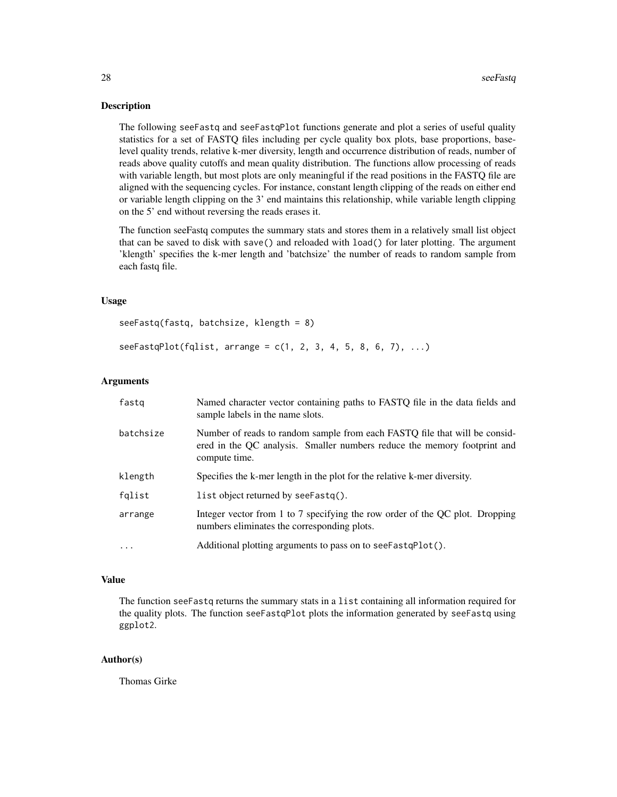#### Description

The following seeFastq and seeFastqPlot functions generate and plot a series of useful quality statistics for a set of FASTQ files including per cycle quality box plots, base proportions, baselevel quality trends, relative k-mer diversity, length and occurrence distribution of reads, number of reads above quality cutoffs and mean quality distribution. The functions allow processing of reads with variable length, but most plots are only meaningful if the read positions in the FASTQ file are aligned with the sequencing cycles. For instance, constant length clipping of the reads on either end or variable length clipping on the 3' end maintains this relationship, while variable length clipping on the 5' end without reversing the reads erases it.

The function seeFastq computes the summary stats and stores them in a relatively small list object that can be saved to disk with save() and reloaded with load() for later plotting. The argument 'klength' specifies the k-mer length and 'batchsize' the number of reads to random sample from each fastq file.

# Usage

```
seeFastq(fastq, batchsize, klength = 8)
```
 $see FastqPlot(fquist, arrange = c(1, 2, 3, 4, 5, 8, 6, 7), ...)$ 

# Arguments

| fastq     | Named character vector containing paths to FASTQ file in the data fields and<br>sample labels in the name slots.                                                        |
|-----------|-------------------------------------------------------------------------------------------------------------------------------------------------------------------------|
| batchsize | Number of reads to random sample from each FASTQ file that will be consid-<br>ered in the QC analysis. Smaller numbers reduce the memory footprint and<br>compute time. |
| klength   | Specifies the k-mer length in the plot for the relative k-mer diversity.                                                                                                |
| fqlist    | list object returned by see Fastq().                                                                                                                                    |
| arrange   | Integer vector from 1 to 7 specifying the row order of the QC plot. Dropping<br>numbers eliminates the corresponding plots.                                             |
| .         | Additional plotting arguments to pass on to see Fast q Plot().                                                                                                          |

#### Value

The function seeFastq returns the summary stats in a list containing all information required for the quality plots. The function seeFastqPlot plots the information generated by seeFastq using ggplot2.

# Author(s)

Thomas Girke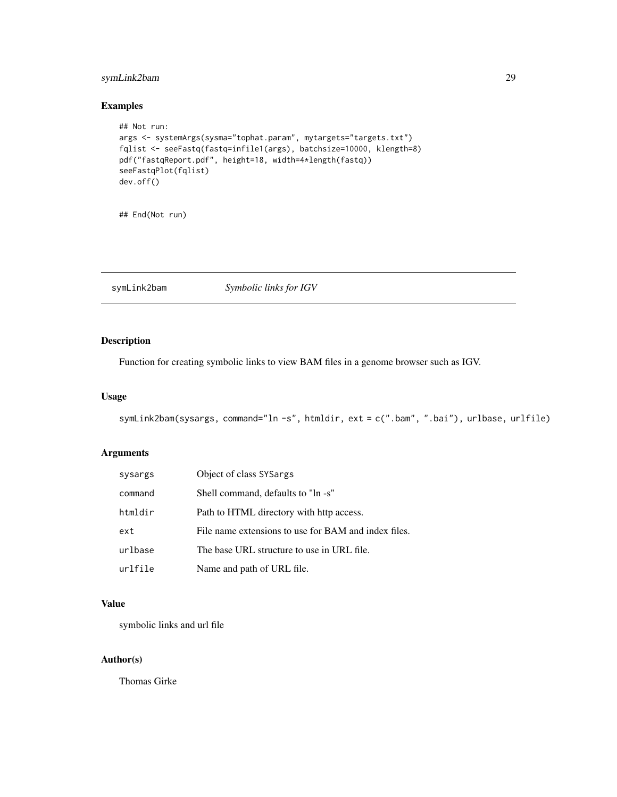# <span id="page-28-0"></span>symLink2bam 29

# Examples

```
## Not run:
args <- systemArgs(sysma="tophat.param", mytargets="targets.txt")
fqlist <- seeFastq(fastq=infile1(args), batchsize=10000, klength=8)
pdf("fastqReport.pdf", height=18, width=4*length(fastq))
seeFastqPlot(fqlist)
dev.off()
```
## End(Not run)

symLink2bam *Symbolic links for IGV*

# Description

Function for creating symbolic links to view BAM files in a genome browser such as IGV.

# Usage

```
symLink2bam(sysargs, command="ln -s", htmldir, ext = c(".bam", ".bai"), urlbase, urlfile)
```
# Arguments

| sysargs | Object of class SYSargs                              |
|---------|------------------------------------------------------|
| command | Shell command, defaults to "ln -s"                   |
| htmldir | Path to HTML directory with http access.             |
| ext     | File name extensions to use for BAM and index files. |
| urlbase | The base URL structure to use in URL file.           |
| urlfile | Name and path of URL file.                           |

# Value

symbolic links and url file

# Author(s)

Thomas Girke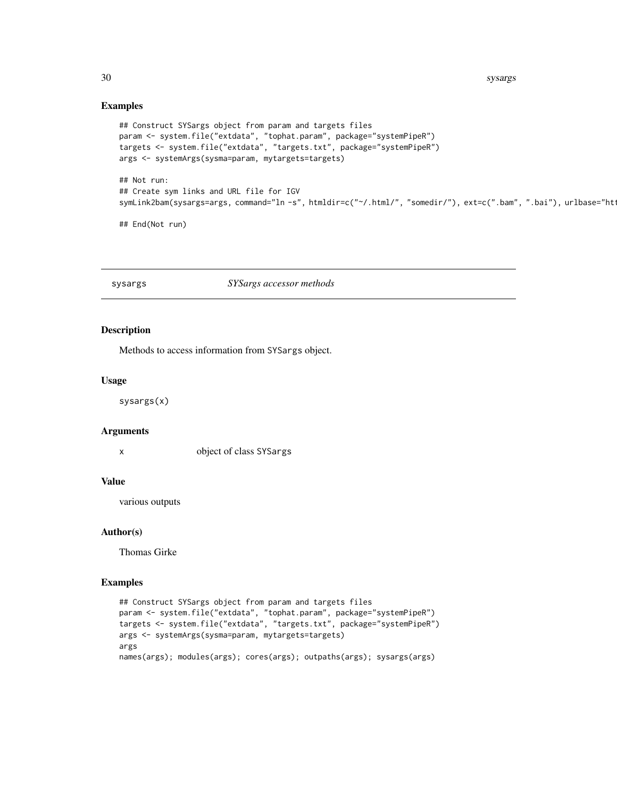<span id="page-29-0"></span>30 sysargs and the system of the system of the system of the system of the system of the system of the system of the system of the system of the system of the system of the system of the system of the system of the system

# Examples

```
## Construct SYSargs object from param and targets files
param <- system.file("extdata", "tophat.param", package="systemPipeR")
targets <- system.file("extdata", "targets.txt", package="systemPipeR")
args <- systemArgs(sysma=param, mytargets=targets)
## Not run:
## Create sym links and URL file for IGV
symLink2bam(sysargs=args, command="ln -s", htmldir=c("~/.html/", "somedir/"), ext=c(".bam", ".bai"), urlbase="ht
## End(Not run)
```
sysargs *SYSargs accessor methods*

# Description

Methods to access information from SYSargs object.

# Usage

sysargs(x)

# Arguments

x object of class SYSargs

#### Value

various outputs

# Author(s)

Thomas Girke

# Examples

```
## Construct SYSargs object from param and targets files
param <- system.file("extdata", "tophat.param", package="systemPipeR")
targets <- system.file("extdata", "targets.txt", package="systemPipeR")
args <- systemArgs(sysma=param, mytargets=targets)
args
names(args); modules(args); cores(args); outpaths(args); sysargs(args)
```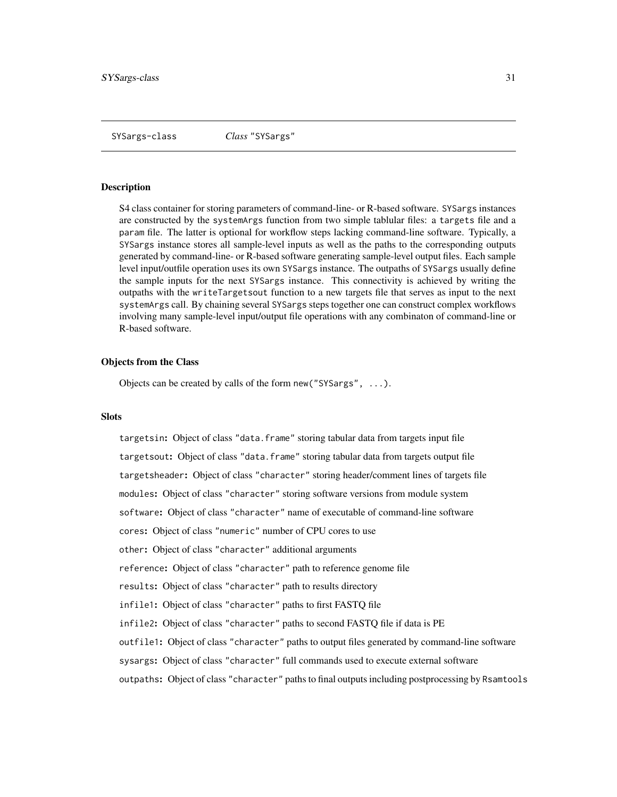#### <span id="page-30-0"></span>Description

S4 class container for storing parameters of command-line- or R-based software. SYSargs instances are constructed by the systemArgs function from two simple tablular files: a targets file and a param file. The latter is optional for workflow steps lacking command-line software. Typically, a SYSargs instance stores all sample-level inputs as well as the paths to the corresponding outputs generated by command-line- or R-based software generating sample-level output files. Each sample level input/outfile operation uses its own SYSargs instance. The outpaths of SYSargs usually define the sample inputs for the next SYSargs instance. This connectivity is achieved by writing the outpaths with the writeTargetsout function to a new targets file that serves as input to the next systemArgs call. By chaining several SYSargs steps together one can construct complex workflows involving many sample-level input/output file operations with any combinaton of command-line or R-based software.

#### Objects from the Class

Objects can be created by calls of the form new("SYSargs", ...).

#### **Slots**

targetsin: Object of class "data.frame" storing tabular data from targets input file targetsout: Object of class "data.frame" storing tabular data from targets output file targetsheader: Object of class "character" storing header/comment lines of targets file modules: Object of class "character" storing software versions from module system software: Object of class "character" name of executable of command-line software cores: Object of class "numeric" number of CPU cores to use other: Object of class "character" additional arguments reference: Object of class "character" path to reference genome file results: Object of class "character" path to results directory infile1: Object of class "character" paths to first FASTQ file infile2: Object of class "character" paths to second FASTQ file if data is PE outfile1: Object of class "character" paths to output files generated by command-line software sysargs: Object of class "character" full commands used to execute external software outpaths: Object of class "character" paths to final outputs including postprocessing by Rsamtools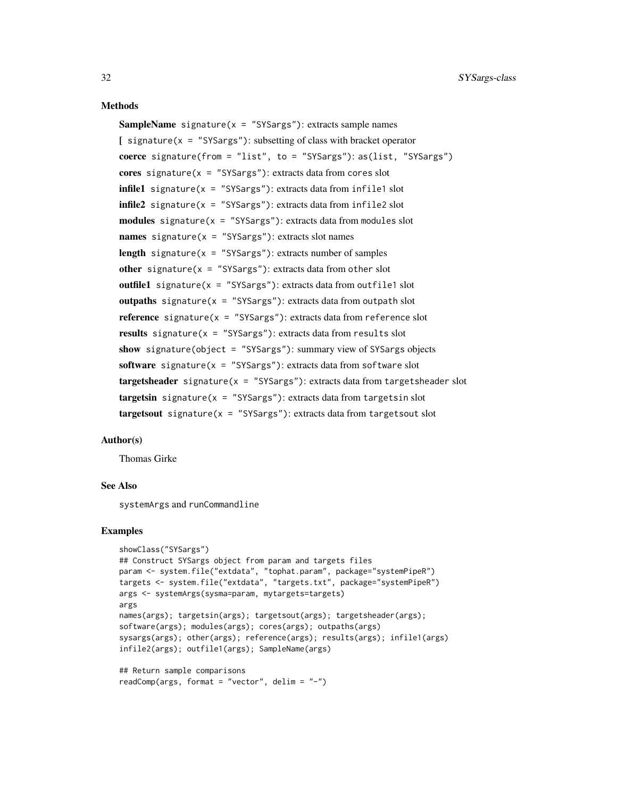#### Methods

**SampleName** signature( $x =$  "SYSargs"): extracts sample names  $\int$  signature(x = "SYSargs"): subsetting of class with bracket operator coerce signature(from = "list", to = "SYSargs"): as(list, "SYSargs") cores signature( $x =$  "SYSargs"): extracts data from cores slot  $infile1$  signature(x = "SYSargs"): extracts data from infile1 slot  $infile2$  signature(x = "SYSargs"): extracts data from infile2 slot  $modules$  signature( $x = "SYSargs")$ : extracts data from modules slot names signature( $x =$  "SYSargs"): extracts slot names length signature( $x =$  "SYSargs"): extracts number of samples other signature( $x =$  "SYSargs"): extracts data from other slot outfile1 signature( $x =$  "SYSargs"): extracts data from outfile1 slot outpaths signature( $x =$  "SYSargs"): extracts data from outpath slot **reference** signature( $x =$  "SYSargs"): extracts data from reference slot results signature( $x =$  "SYSargs"): extracts data from results slot show signature(object = "SYSargs"): summary view of SYSargs objects software signature( $x =$  "SYSargs"): extracts data from software slot  $targetsheader$  signature( $x = "SYSargs")$ : extracts data from targetsheader slot  $targetsin$  signature(x = "SYSargs"): extracts data from targetsin slot  $targetsout$  signature( $x = "SYSargs")$ : extracts data from targetsout slot

#### Author(s)

Thomas Girke

# See Also

systemArgs and runCommandline

# Examples

```
showClass("SYSargs")
## Construct SYSargs object from param and targets files
param <- system.file("extdata", "tophat.param", package="systemPipeR")
targets <- system.file("extdata", "targets.txt", package="systemPipeR")
args <- systemArgs(sysma=param, mytargets=targets)
args
names(args); targetsin(args); targetsout(args); targetsheader(args);
software(args); modules(args); cores(args); outpaths(args)
sysargs(args); other(args); reference(args); results(args); infile1(args)
infile2(args); outfile1(args); SampleName(args)
## Return sample comparisons
```

```
readComp(args, format = "vector", delim = "-")
```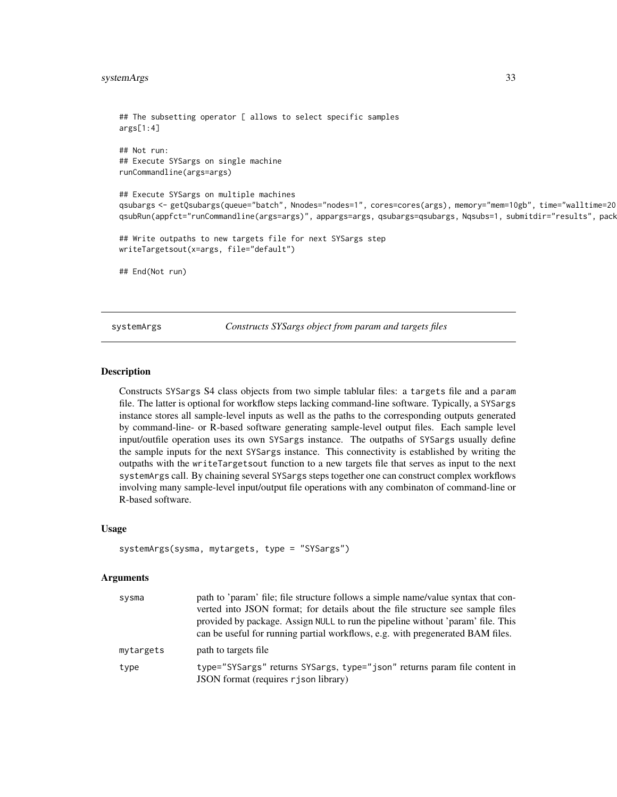```
## The subsetting operator [ allows to select specific samples
args[1:4]
## Not run:
## Execute SYSargs on single machine
runCommandline(args=args)
## Execute SYSargs on multiple machines
qsubargs <- getQsubargs(queue="batch", Nnodes="nodes=1", cores=cores(args), memory="mem=10gb", time="walltime=20
qsubRun(appfct="runCommandline(args=args)", appargs=args, qsubargs=qsubargs, Nqsubs=1, submitdir="results", pack
## Write outpaths to new targets file for next SYSargs step
writeTargetsout(x=args, file="default")
## End(Not run)
```
systemArgs *Constructs SYSargs object from param and targets files*

# **Description**

Constructs SYSargs S4 class objects from two simple tablular files: a targets file and a param file. The latter is optional for workflow steps lacking command-line software. Typically, a SYSargs instance stores all sample-level inputs as well as the paths to the corresponding outputs generated by command-line- or R-based software generating sample-level output files. Each sample level input/outfile operation uses its own SYSargs instance. The outpaths of SYSargs usually define the sample inputs for the next SYSargs instance. This connectivity is established by writing the outpaths with the writeTargetsout function to a new targets file that serves as input to the next systemArgs call. By chaining several SYSargs steps together one can construct complex workflows involving many sample-level input/output file operations with any combinaton of command-line or R-based software.

#### Usage

```
systemArgs(sysma, mytargets, type = "SYSargs")
```
#### Arguments

| sysma     | path to 'param' file; file structure follows a simple name/value syntax that con-<br>verted into JSON format; for details about the file structure see sample files<br>provided by package. Assign NULL to run the pipeline without 'param' file. This<br>can be useful for running partial workflows, e.g. with pregenerated BAM files. |
|-----------|------------------------------------------------------------------------------------------------------------------------------------------------------------------------------------------------------------------------------------------------------------------------------------------------------------------------------------------|
| mytargets | path to targets file                                                                                                                                                                                                                                                                                                                     |
| type      | type="SYSargs" returns SYSargs, type="json" returns param file content in<br>JSON format (requires r j son library)                                                                                                                                                                                                                      |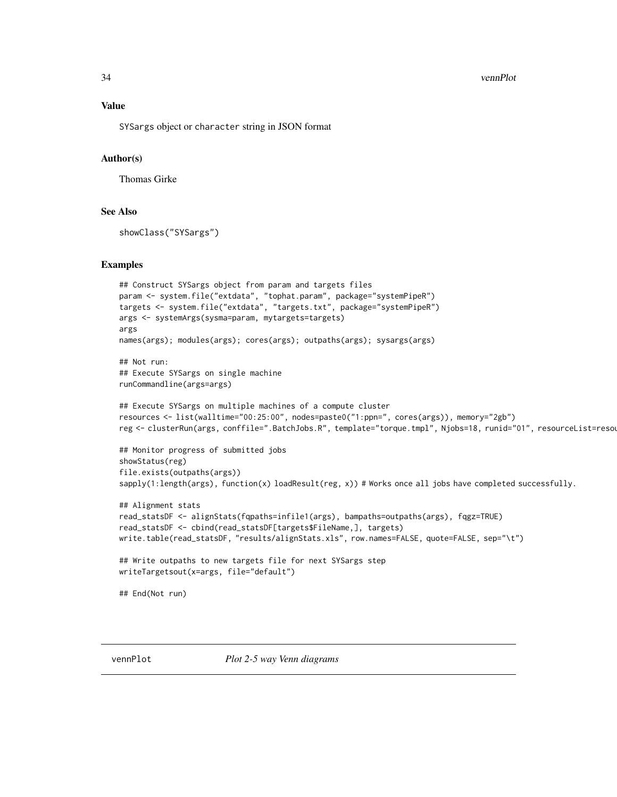34 vennPlot

# Value

SYSargs object or character string in JSON format

# Author(s)

Thomas Girke

# See Also

showClass("SYSargs")

#### Examples

```
## Construct SYSargs object from param and targets files
param <- system.file("extdata", "tophat.param", package="systemPipeR")
targets <- system.file("extdata", "targets.txt", package="systemPipeR")
args <- systemArgs(sysma=param, mytargets=targets)
args
names(args); modules(args); cores(args); outpaths(args); sysargs(args)
## Not run:
## Execute SYSargs on single machine
runCommandline(args=args)
## Execute SYSargs on multiple machines of a compute cluster
resources <- list(walltime="00:25:00", nodes=paste0("1:ppn=", cores(args)), memory="2gb")
reg <- clusterRun(args, conffile=".BatchJobs.R", template="torque.tmpl", Njobs=18, runid="01", resourceList=resou
## Monitor progress of submitted jobs
showStatus(reg)
file.exists(outpaths(args))
sapply(1:length(args), function(x) loadResult(reg, x)) # Works once all jobs have completed successfully.
## Alignment stats
read_statsDF <- alignStats(fqpaths=infile1(args), bampaths=outpaths(args), fqgz=TRUE)
read_statsDF <- cbind(read_statsDF[targets$FileName,], targets)
write.table(read_statsDF, "results/alignStats.xls", row.names=FALSE, quote=FALSE, sep="\t")
## Write outpaths to new targets file for next SYSargs step
writeTargetsout(x=args, file="default")
## End(Not run)
```
vennPlot *Plot 2-5 way Venn diagrams*

<span id="page-33-0"></span>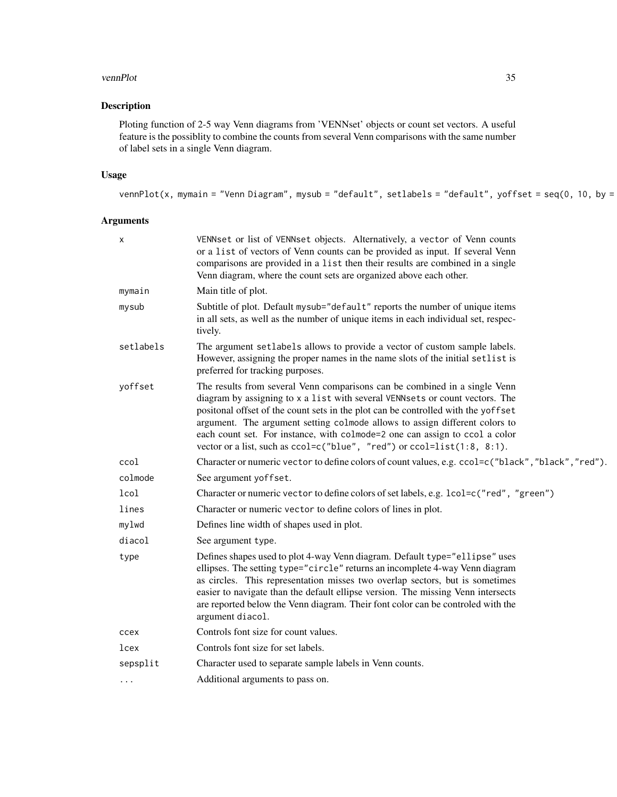#### vennPlot 35

# Description

Ploting function of 2-5 way Venn diagrams from 'VENNset' objects or count set vectors. A useful feature is the possiblity to combine the counts from several Venn comparisons with the same number of label sets in a single Venn diagram.

# Usage

```
vennPlot(x, mymain = "Venn Diagram", mysub = "default", setlabels = "default", yoffset = seq(0, 10, by =
```
# Arguments

| X         | VENNset or list of VENNset objects. Alternatively, a vector of Venn counts<br>or a list of vectors of Venn counts can be provided as input. If several Venn<br>comparisons are provided in a list then their results are combined in a single<br>Venn diagram, where the count sets are organized above each other.                                                                                                                                                                      |
|-----------|------------------------------------------------------------------------------------------------------------------------------------------------------------------------------------------------------------------------------------------------------------------------------------------------------------------------------------------------------------------------------------------------------------------------------------------------------------------------------------------|
| mymain    | Main title of plot.                                                                                                                                                                                                                                                                                                                                                                                                                                                                      |
| mysub     | Subtitle of plot. Default mysub="default" reports the number of unique items<br>in all sets, as well as the number of unique items in each individual set, respec-<br>tively.                                                                                                                                                                                                                                                                                                            |
| setlabels | The argument setlabels allows to provide a vector of custom sample labels.<br>However, assigning the proper names in the name slots of the initial setlist is<br>preferred for tracking purposes.                                                                                                                                                                                                                                                                                        |
| yoffset   | The results from several Venn comparisons can be combined in a single Venn<br>diagram by assigning to x a list with several VENNsets or count vectors. The<br>positonal offset of the count sets in the plot can be controlled with the yoffset<br>argument. The argument setting colmode allows to assign different colors to<br>each count set. For instance, with colmode=2 one can assign to ccol a color<br>vector or a list, such as ccol=c("blue", "red") or ccol=list(1:8, 8:1). |
| ccol      | Character or numeric vector to define colors of count values, e.g. ccol=c("black", "black", "red").                                                                                                                                                                                                                                                                                                                                                                                      |
| colmode   | See argument yoffset.                                                                                                                                                                                                                                                                                                                                                                                                                                                                    |
| lcol      | Character or numeric vector to define colors of set labels, e.g. lcol=c("red", "green")                                                                                                                                                                                                                                                                                                                                                                                                  |
| lines     | Character or numeric vector to define colors of lines in plot.                                                                                                                                                                                                                                                                                                                                                                                                                           |
| mylwd     | Defines line width of shapes used in plot.                                                                                                                                                                                                                                                                                                                                                                                                                                               |
| diacol    | See argument type.                                                                                                                                                                                                                                                                                                                                                                                                                                                                       |
| type      | Defines shapes used to plot 4-way Venn diagram. Default type="ellipse" uses<br>ellipses. The setting type="circle" returns an incomplete 4-way Venn diagram<br>as circles. This representation misses two overlap sectors, but is sometimes<br>easier to navigate than the default ellipse version. The missing Venn intersects<br>are reported below the Venn diagram. Their font color can be controled with the<br>argument diacol.                                                   |
| ccex      | Controls font size for count values.                                                                                                                                                                                                                                                                                                                                                                                                                                                     |
| lcex      | Controls font size for set labels.                                                                                                                                                                                                                                                                                                                                                                                                                                                       |
| sepsplit  | Character used to separate sample labels in Venn counts.                                                                                                                                                                                                                                                                                                                                                                                                                                 |
| $\cdots$  | Additional arguments to pass on.                                                                                                                                                                                                                                                                                                                                                                                                                                                         |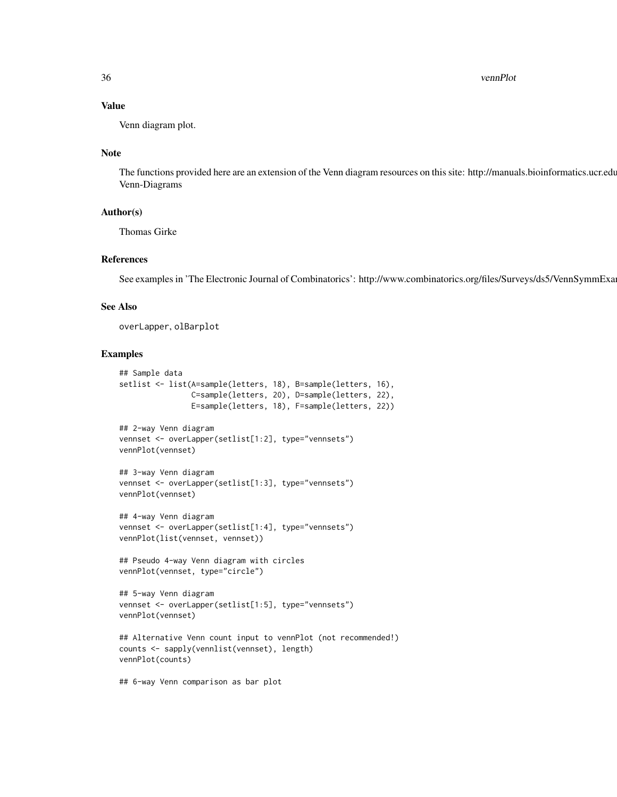36 vennPlot

# Value

Venn diagram plot.

# Note

The functions provided here are an extension of the Venn diagram resources on this site: http://manuals.bioinformatics.ucr.edu Venn-Diagrams

# Author(s)

Thomas Girke

# References

See examples in 'The Electronic Journal of Combinatorics': http://www.combinatorics.org/files/Surveys/ds5/VennSymmExa

# See Also

overLapper, olBarplot

# Examples

```
## Sample data
setlist <- list(A=sample(letters, 18), B=sample(letters, 16),
                C=sample(letters, 20), D=sample(letters, 22),
                E=sample(letters, 18), F=sample(letters, 22))
## 2-way Venn diagram
vennset <- overLapper(setlist[1:2], type="vennsets")
vennPlot(vennset)
## 3-way Venn diagram
vennset <- overLapper(setlist[1:3], type="vennsets")
vennPlot(vennset)
## 4-way Venn diagram
vennset <- overLapper(setlist[1:4], type="vennsets")
vennPlot(list(vennset, vennset))
## Pseudo 4-way Venn diagram with circles
vennPlot(vennset, type="circle")
## 5-way Venn diagram
vennset <- overLapper(setlist[1:5], type="vennsets")
vennPlot(vennset)
## Alternative Venn count input to vennPlot (not recommended!)
counts <- sapply(vennlist(vennset), length)
vennPlot(counts)
```
## 6-way Venn comparison as bar plot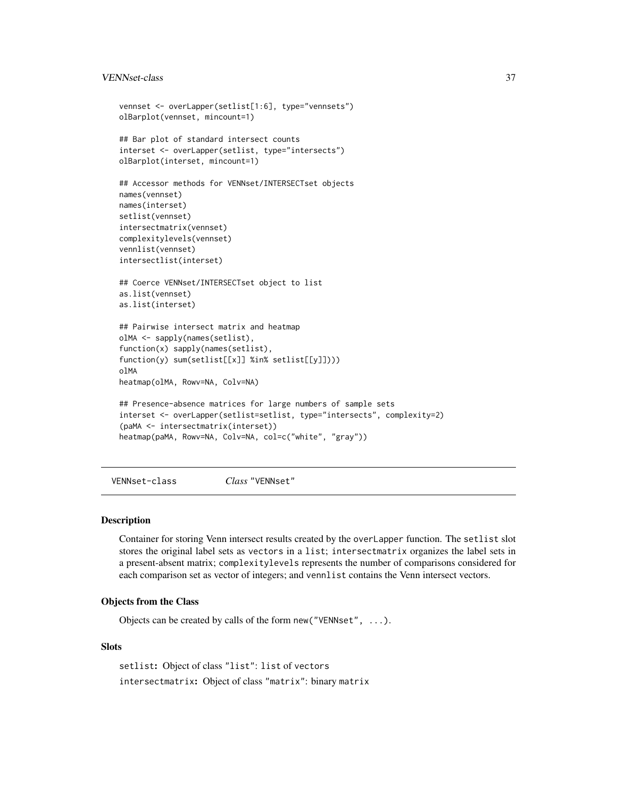# <span id="page-36-0"></span>VENNset-class 37

```
vennset <- overLapper(setlist[1:6], type="vennsets")
olBarplot(vennset, mincount=1)
## Bar plot of standard intersect counts
interset <- overLapper(setlist, type="intersects")
olBarplot(interset, mincount=1)
## Accessor methods for VENNset/INTERSECTset objects
names(vennset)
names(interset)
setlist(vennset)
intersectmatrix(vennset)
complexitylevels(vennset)
vennlist(vennset)
intersectlist(interset)
## Coerce VENNset/INTERSECTset object to list
as.list(vennset)
as.list(interset)
## Pairwise intersect matrix and heatmap
olMA <- sapply(names(setlist),
function(x) sapply(names(setlist),
function(y) sum(setlist[[x]] %in% setlist[[y]])))
olMA
heatmap(olMA, Rowv=NA, Colv=NA)
## Presence-absence matrices for large numbers of sample sets
interset <- overLapper(setlist=setlist, type="intersects", complexity=2)
(paMA <- intersectmatrix(interset))
heatmap(paMA, Rowv=NA, Colv=NA, col=c("white", "gray"))
```
VENNset-class *Class* "VENNset"

### Description

Container for storing Venn intersect results created by the overLapper function. The setlist slot stores the original label sets as vectors in a list; intersectmatrix organizes the label sets in a present-absent matrix; complexitylevels represents the number of comparisons considered for each comparison set as vector of integers; and vennlist contains the Venn intersect vectors.

# Objects from the Class

Objects can be created by calls of the form new("VENNset", ...).

# **Slots**

setlist: Object of class "list": list of vectors intersectmatrix: Object of class "matrix": binary matrix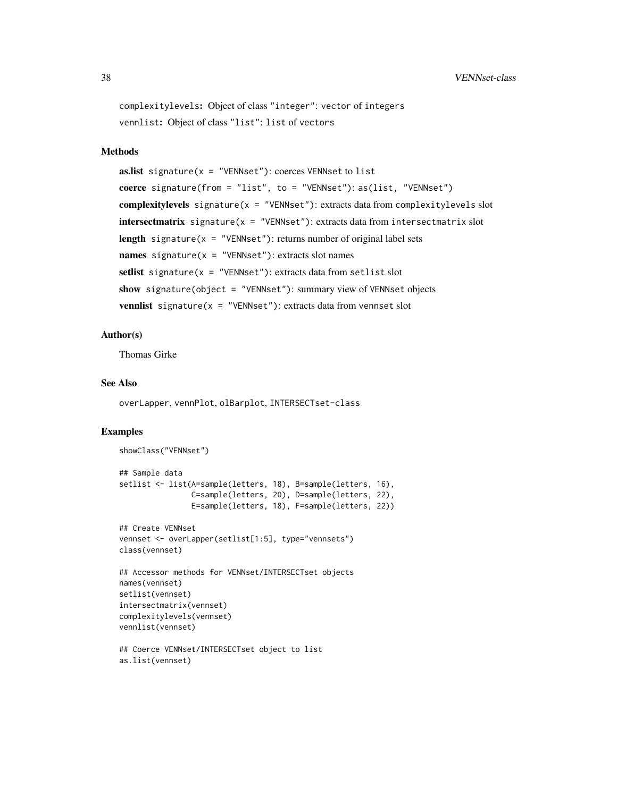```
complexitylevels: Object of class "integer": vector of integers
vennlist: Object of class "list": list of vectors
```
# Methods

```
as.list signature(x = "VENNset"): coerces VENNset to list
coerce signature(from = "list", to = "VENNset"): as(list, "VENNset")
complexitylevels signature(x = "VENNset"): extracts data from complexitylevels slot
intersectmatrix signature(x = "VENNset"): extracts data from intersectmatrix slot
length signature(x = "VENNset"): returns number of original label sets
names signature(x = "VENNset"): extracts slot names
setlist signature(x = "VENNset"): extracts data from setlist slot
show signature(object = "VENNset"): summary view of VENNset objects
vennlist signature(x = "VENNset"): extracts data from vennset slot
```
# Author(s)

Thomas Girke

# See Also

overLapper, vennPlot, olBarplot, INTERSECTset-class

#### Examples

```
showClass("VENNset")
## Sample data
setlist <- list(A=sample(letters, 18), B=sample(letters, 16),
                C=sample(letters, 20), D=sample(letters, 22),
                E=sample(letters, 18), F=sample(letters, 22))
## Create VENNset
vennset <- overLapper(setlist[1:5], type="vennsets")
class(vennset)
## Accessor methods for VENNset/INTERSECTset objects
names(vennset)
setlist(vennset)
intersectmatrix(vennset)
complexitylevels(vennset)
vennlist(vennset)
## Coerce VENNset/INTERSECTset object to list
as.list(vennset)
```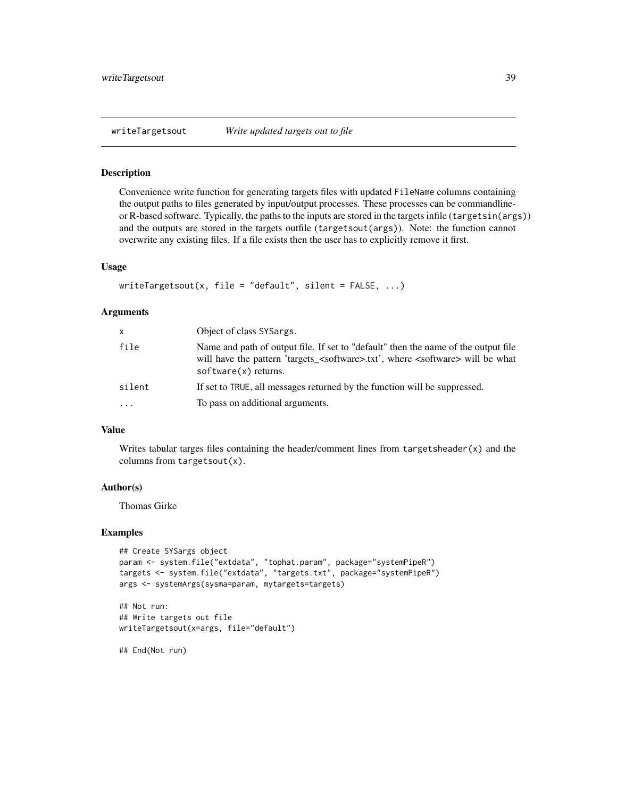<span id="page-38-0"></span>

#### Description

Convenience write function for generating targets files with updated FileName columns containing the output paths to files generated by input/output processes. These processes can be commandlineor R-based software. Typically, the paths to the inputs are stored in the targets infile (targetsin(args)) and the outputs are stored in the targets outfile (targetsout(args)). Note: the function cannot overwrite any existing files. If a file exists then the user has to explicitly remove it first.

# Usage

```
writeTargetsout(x, file = "default", silent = FALSE, \ldots)
```
#### Arguments

| X        | Object of class SYSargs.                                                                                                                                                                                                        |
|----------|---------------------------------------------------------------------------------------------------------------------------------------------------------------------------------------------------------------------------------|
| file     | Name and path of output file. If set to "default" then the name of the output file<br>will have the pattern 'targets_ <software>.txt', where <software> will be what<br/><math>softmax(x)</math> returns.</software></software> |
| silent   | If set to TRUE, all messages returned by the function will be suppressed.                                                                                                                                                       |
| $\cdots$ | To pass on additional arguments.                                                                                                                                                                                                |

#### Value

Writes tabular targes files containing the header/comment lines from  $targetsheet(x)$  and the columns from targetsout(x).

# Author(s)

Thomas Girke

#### Examples

```
## Create SYSargs object
param <- system.file("extdata", "tophat.param", package="systemPipeR")
targets <- system.file("extdata", "targets.txt", package="systemPipeR")
args <- systemArgs(sysma=param, mytargets=targets)
```

```
## Not run:
## Write targets out file
writeTargetsout(x=args, file="default")
```
## End(Not run)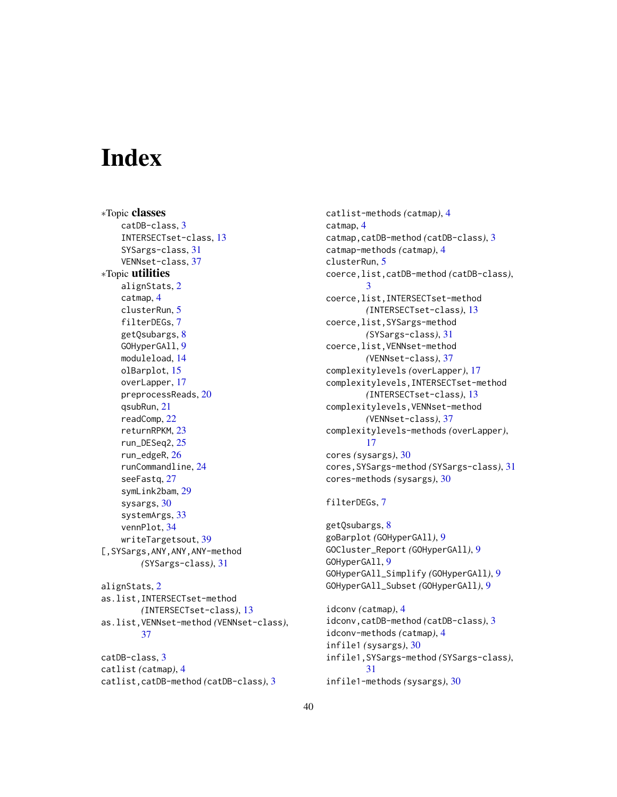# <span id="page-39-0"></span>**Index**

∗Topic classes catDB-class, [3](#page-2-0) INTERSECTset-class, [13](#page-12-0) SYSargs-class, [31](#page-30-0) VENNset-class, [37](#page-36-0) ∗Topic utilities alignStats, [2](#page-1-0) catmap, [4](#page-3-0) clusterRun, [5](#page-4-0) filterDEGs, [7](#page-6-0) getQsubargs, [8](#page-7-0) GOHyperGAll, [9](#page-8-0) moduleload, [14](#page-13-0) olBarplot, [15](#page-14-0) overLapper, [17](#page-16-0) preprocessReads, [20](#page-19-0) qsubRun, [21](#page-20-0) readComp, [22](#page-21-0) returnRPKM, [23](#page-22-0) run\_DESeq2, [25](#page-24-0) run\_edgeR, [26](#page-25-0) runCommandline, [24](#page-23-0) seeFastq, [27](#page-26-0) symLink2bam, [29](#page-28-0) sysargs, [30](#page-29-0) systemArgs, [33](#page-32-0) vennPlot, [34](#page-33-0) writeTargetsout, [39](#page-38-0) [,SYSargs,ANY,ANY,ANY-method *(*SYSargs-class*)*, [31](#page-30-0)

alignStats, [2](#page-1-0) as.list,INTERSECTset-method *(*INTERSECTset-class*)*, [13](#page-12-0) as.list,VENNset-method *(*VENNset-class*)*, [37](#page-36-0)

catDB-class, [3](#page-2-0) catlist *(*catmap*)*, [4](#page-3-0) catlist,catDB-method *(*catDB-class*)*, [3](#page-2-0) catlist-methods *(*catmap*)*, [4](#page-3-0) catmap, [4](#page-3-0) catmap,catDB-method *(*catDB-class*)*, [3](#page-2-0) catmap-methods *(*catmap*)*, [4](#page-3-0) clusterRun, [5](#page-4-0) coerce,list,catDB-method *(*catDB-class*)*, [3](#page-2-0) coerce,list,INTERSECTset-method *(*INTERSECTset-class*)*, [13](#page-12-0) coerce,list,SYSargs-method *(*SYSargs-class*)*, [31](#page-30-0) coerce,list,VENNset-method *(*VENNset-class*)*, [37](#page-36-0) complexitylevels *(*overLapper*)*, [17](#page-16-0) complexitylevels,INTERSECTset-method *(*INTERSECTset-class*)*, [13](#page-12-0) complexitylevels,VENNset-method *(*VENNset-class*)*, [37](#page-36-0) complexitylevels-methods *(*overLapper*)*, [17](#page-16-0) cores *(*sysargs*)*, [30](#page-29-0) cores,SYSargs-method *(*SYSargs-class*)*, [31](#page-30-0) cores-methods *(*sysargs*)*, [30](#page-29-0)

# filterDEGs, [7](#page-6-0)

getQsubargs, [8](#page-7-0) goBarplot *(*GOHyperGAll*)*, [9](#page-8-0) GOCluster\_Report *(*GOHyperGAll*)*, [9](#page-8-0) GOHyperGAll, [9](#page-8-0) GOHyperGAll\_Simplify *(*GOHyperGAll*)*, [9](#page-8-0) GOHyperGAll\_Subset *(*GOHyperGAll*)*, [9](#page-8-0)

idconv *(*catmap*)*, [4](#page-3-0) idconv,catDB-method *(*catDB-class*)*, [3](#page-2-0) idconv-methods *(*catmap*)*, [4](#page-3-0) infile1 *(*sysargs*)*, [30](#page-29-0) infile1,SYSargs-method *(*SYSargs-class*)*, [31](#page-30-0) infile1-methods *(*sysargs*)*, [30](#page-29-0)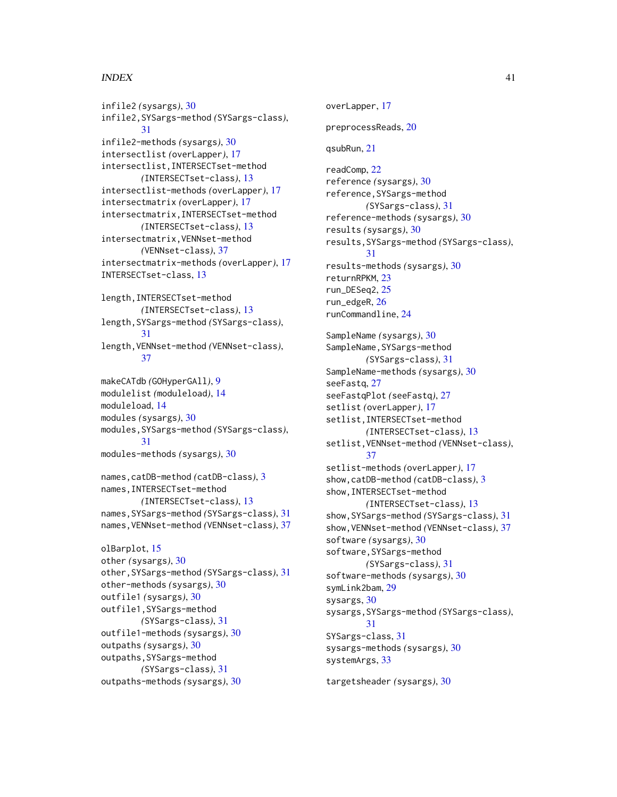# $I<sub>N</sub>$  and  $I<sub>1</sub>$  and  $I<sub>2</sub>$  and  $I<sub>3</sub>$  and  $I<sub>4</sub>$  and  $I<sub>4</sub>$  and  $I<sub>4</sub>$  and  $I<sub>4</sub>$  and  $I<sub>4</sub>$  and  $I<sub>4</sub>$  and  $I<sub>4</sub>$  and  $I<sub>4</sub>$  and  $I<sub>4</sub>$  and  $I<sub>4</sub>$  and  $I<sub>4</sub>$  a

infile2 *(*sysargs*)*, [30](#page-29-0) infile2,SYSargs-method *(*SYSargs-class*)*, [31](#page-30-0) infile2-methods *(*sysargs*)*, [30](#page-29-0) intersectlist *(*overLapper*)*, [17](#page-16-0) intersectlist,INTERSECTset-method *(*INTERSECTset-class*)*, [13](#page-12-0) intersectlist-methods *(*overLapper*)*, [17](#page-16-0) intersectmatrix *(*overLapper*)*, [17](#page-16-0) intersectmatrix,INTERSECTset-method *(*INTERSECTset-class*)*, [13](#page-12-0) intersectmatrix,VENNset-method *(*VENNset-class*)*, [37](#page-36-0) intersectmatrix-methods *(*overLapper*)*, [17](#page-16-0) INTERSECTset-class, [13](#page-12-0) length,INTERSECTset-method *(*INTERSECTset-class*)*, [13](#page-12-0) length,SYSargs-method *(*SYSargs-class*)*, [31](#page-30-0) length,VENNset-method *(*VENNset-class*)*, [37](#page-36-0) makeCATdb *(*GOHyperGAll*)*, [9](#page-8-0) modulelist *(*moduleload*)*, [14](#page-13-0) moduleload, [14](#page-13-0) modules *(*sysargs*)*, [30](#page-29-0) modules,SYSargs-method *(*SYSargs-class*)*, [31](#page-30-0) modules-methods *(*sysargs*)*, [30](#page-29-0) names,catDB-method *(*catDB-class*)*, [3](#page-2-0) names,INTERSECTset-method *(*INTERSECTset-class*)*, [13](#page-12-0) names,SYSargs-method *(*SYSargs-class*)*, [31](#page-30-0) names,VENNset-method *(*VENNset-class*)*, [37](#page-36-0) olBarplot, [15](#page-14-0) other *(*sysargs*)*, [30](#page-29-0) other,SYSargs-method *(*SYSargs-class*)*, [31](#page-30-0) other-methods *(*sysargs*)*, [30](#page-29-0) outfile1 *(*sysargs*)*, [30](#page-29-0) outfile1,SYSargs-method *(*SYSargs-class*)*, [31](#page-30-0) outfile1-methods *(*sysargs*)*, [30](#page-29-0) outpaths *(*sysargs*)*, [30](#page-29-0) outpaths,SYSargs-method

*(*SYSargs-class*)*, [31](#page-30-0) outpaths-methods *(*sysargs*)*, [30](#page-29-0) overLapper, [17](#page-16-0) preprocessReads, [20](#page-19-0) qsubRun, [21](#page-20-0) readComp, [22](#page-21-0) reference *(*sysargs*)*, [30](#page-29-0) reference,SYSargs-method *(*SYSargs-class*)*, [31](#page-30-0) reference-methods *(*sysargs*)*, [30](#page-29-0) results *(*sysargs*)*, [30](#page-29-0) results,SYSargs-method *(*SYSargs-class*)*, [31](#page-30-0) results-methods *(*sysargs*)*, [30](#page-29-0) returnRPKM, [23](#page-22-0) run\_DESeq2, [25](#page-24-0) run\_edgeR, [26](#page-25-0) runCommandline, [24](#page-23-0) SampleName *(*sysargs*)*, [30](#page-29-0) SampleName, SYSargs-method *(*SYSargs-class*)*, [31](#page-30-0) SampleName-methods *(*sysargs*)*, [30](#page-29-0) seeFastq, [27](#page-26-0) seeFastqPlot *(*seeFastq*)*, [27](#page-26-0) setlist *(*overLapper*)*, [17](#page-16-0) setlist,INTERSECTset-method *(*INTERSECTset-class*)*, [13](#page-12-0) setlist,VENNset-method *(*VENNset-class*)*, [37](#page-36-0) setlist-methods *(*overLapper*)*, [17](#page-16-0) show,catDB-method *(*catDB-class*)*, [3](#page-2-0) show,INTERSECTset-method *(*INTERSECTset-class*)*, [13](#page-12-0) show,SYSargs-method *(*SYSargs-class*)*, [31](#page-30-0) show,VENNset-method *(*VENNset-class*)*, [37](#page-36-0) software *(*sysargs*)*, [30](#page-29-0) software,SYSargs-method *(*SYSargs-class*)*, [31](#page-30-0) software-methods *(*sysargs*)*, [30](#page-29-0) symLink2bam, [29](#page-28-0) sysargs, [30](#page-29-0) sysargs,SYSargs-method *(*SYSargs-class*)*, [31](#page-30-0) SYSargs-class, [31](#page-30-0) sysargs-methods *(*sysargs*)*, [30](#page-29-0) systemArgs, [33](#page-32-0)

targetsheader *(*sysargs*)*, [30](#page-29-0)